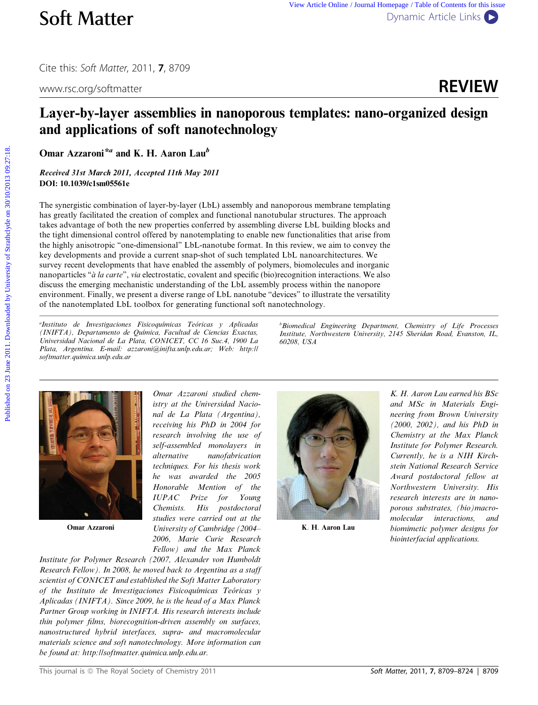Cite this: Soft Matter, 2011, <sup>7</sup>, 8709



# Layer-by-layer assemblies in nanoporous templates: nano-organized design and applications of soft nanotechnology

Omar Azzaroni<sup>\*a</sup> and K. H. Aaron Lau<sup>b</sup>

Received 31st March 2011, Accepted 11th May 2011 DOI: 10.1039/c1sm05561e

The synergistic combination of layer-by-layer (LbL) assembly and nanoporous membrane templating has greatly facilitated the creation of complex and functional nanotubular structures. The approach takes advantage of both the new properties conferred by assembling diverse LbL building blocks and the tight dimensional control offered by nanotemplating to enable new functionalities that arise from the highly anisotropic "one-dimensional" LbL-nanotube format. In this review, we aim to convey the key developments and provide a current snap-shot of such templated LbL nanoarchitectures. We survey recent developments that have enabled the assembly of polymers, biomolecules and inorganic nanoparticles "à la carte", via electrostatic, covalent and specific (bio)recognition interactions. We also discuss the emerging mechanistic understanding of the LbL assembly process within the nanopore environment. Finally, we present a diverse range of LbL nanotube ''devices'' to illustrate the versatility of the nanotemplated LbL toolbox for generating functional soft nanotechnology. **Soft Matter** view Amide Dinies Jeannal Homes (Syntanic Article University of Contents for Contents of Strathclients in **REVIEW**<br>
Layer-by-layer assemblies in nanoporous templates: nano-organized design<br>
and applications

"Instituto de Investigaciones Fisicoquímicas Teóricas y Aplicadas (INIFTA), Departamento de Quımica, Facultad de Ciencias Exactas, Universidad Nacional de La Plata, CONICET, CC 16 Suc.4, 1900 La Plata, Argentina. E-mail: azzaroni@inifta.unlp.edu.ar; Web: http:// softmatter.quimica.unlp.edu.ar

b Biomedical Engineering Department, Chemistry of Life Processes Institute, Northwestern University, 2145 Sheridan Road, Evanston, IL, 60208, USA



Omar Azzaroni

Omar Azzaroni studied chemistry at the Universidad Nacional de La Plata (Argentina), receiving his PhD in 2004 for research involving the use of self-assembled monolayers in alternative nanofabrication techniques. For his thesis work he was awarded the 2005 Honorable Mention of the IUPAC Prize for Young Chemists. His postdoctoral studies were carried out at the University of Cambridge (2004– 2006, Marie Curie Research Fellow) and the Max Planck



K: H: Aaron Lau

K. H. Aaron Lau earned his BSc and MSc in Materials Engineering from Brown University (2000, 2002), and his PhD in Chemistry at the Max Planck Institute for Polymer Research. Currently, he is a NIH Kirchstein National Research Service Award postdoctoral fellow at Northwestern University. His research interests are in nanoporous substrates, (bio)macromolecular interactions, and biomimetic polymer designs for biointerfacial applications.

be found at: http://softmatter.quimica.unlp.edu.ar.

Institute for Polymer Research (2007, Alexander von Humboldt Research Fellow). In 2008, he moved back to Argentina as a staff scientist of CONICET and established the Soft Matter Laboratory of the Instituto de Investigaciones Fisicoquímicas Teóricas y Aplicadas (INIFTA). Since 2009, he is the head of a Max Planck Partner Group working in INIFTA. His research interests include thin polymer films, biorecognition-driven assembly on surfaces, nanostructured hybrid interfaces, supra- and macromolecular materials science and soft nanotechnology. More information can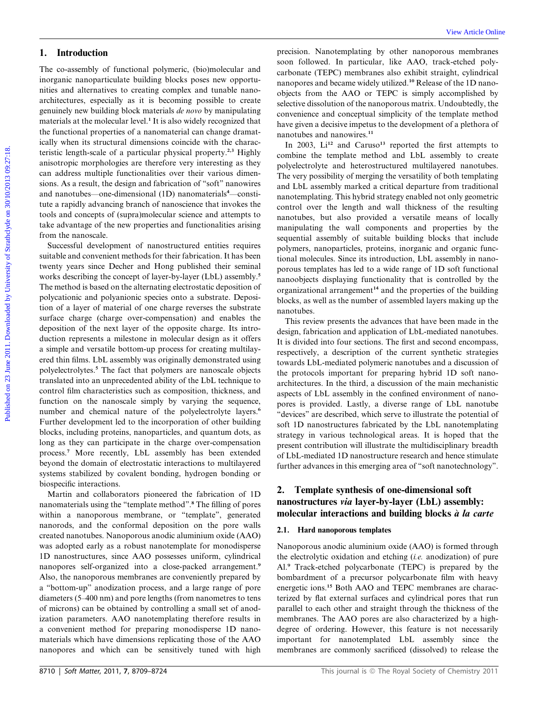## 1. Introduction

The co-assembly of functional polymeric, (bio)molecular and inorganic nanoparticulate building blocks poses new opportunities and alternatives to creating complex and tunable nanoarchitectures, especially as it is becoming possible to create genuinely new building block materials de novo by manipulating materials at the molecular level.<sup>1</sup> It is also widely recognized that the functional properties of a nanomaterial can change dramatically when its structural dimensions coincide with the characteristic length-scale of a particular physical property.2,3 Highly anisotropic morphologies are therefore very interesting as they can address multiple functionalities over their various dimensions. As a result, the design and fabrication of ''soft'' nanowires and nanotubes—one-dimensional (1D) nanomaterials<sup>4</sup>—constitute a rapidly advancing branch of nanoscience that invokes the tools and concepts of (supra)molecular science and attempts to take advantage of the new properties and functionalities arising from the nanoscale.

Successful development of nanostructured entities requires suitable and convenient methods for their fabrication. It has been twenty years since Decher and Hong published their seminal works describing the concept of layer-by-layer (LbL) assembly.<sup>5</sup> The method is based on the alternating electrostatic deposition of polycationic and polyanionic species onto a substrate. Deposition of a layer of material of one charge reverses the substrate surface charge (charge over-compensation) and enables the deposition of the next layer of the opposite charge. Its introduction represents a milestone in molecular design as it offers a simple and versatile bottom-up process for creating multilayered thin films. LbL assembly was originally demonstrated using polyelectrolytes.<sup>5</sup> The fact that polymers are nanoscale objects translated into an unprecedented ability of the LbL technique to control film characteristics such as composition, thickness, and function on the nanoscale simply by varying the sequence, number and chemical nature of the polyelectrolyte layers.<sup>6</sup> Further development led to the incorporation of other building blocks, including proteins, nanoparticles, and quantum dots, as long as they can participate in the charge over-compensation process.<sup>7</sup> More recently, LbL assembly has been extended beyond the domain of electrostatic interactions to multilayered systems stabilized by covalent bonding, hydrogen bonding or biospecific interactions. **Published on 24** June 2011. **Introduction**<br> **Publication Publication Publication Publication Publication Publication Publication Publication Publication Publication Publication Publication Publica** 

Martin and collaborators pioneered the fabrication of 1D nanomaterials using the ''template method''.<sup>8</sup> The filling of pores within a nanoporous membrane, or ''template'', generated nanorods, and the conformal deposition on the pore walls created nanotubes. Nanoporous anodic aluminium oxide (AAO) was adopted early as a robust nanotemplate for monodisperse 1D nanostructures, since AAO possesses uniform, cylindrical nanopores self-organized into a close-packed arrangement.<sup>9</sup> Also, the nanoporous membranes are conveniently prepared by a ''bottom-up'' anodization process, and a large range of pore diameters (5–400 nm) and pore lengths (from nanometres to tens of microns) can be obtained by controlling a small set of anodization parameters. AAO nanotemplating therefore results in a convenient method for preparing monodisperse 1D nanomaterials which have dimensions replicating those of the AAO nanopores and which can be sensitively tuned with high

precision. Nanotemplating by other nanoporous membranes soon followed. In particular, like AAO, track-etched polycarbonate (TEPC) membranes also exhibit straight, cylindrical nanopores and became widely utilized.<sup>10</sup> Release of the 1D nanoobjects from the AAO or TEPC is simply accomplished by selective dissolution of the nanoporous matrix. Undoubtedly, the convenience and conceptual simplicity of the template method have given a decisive impetus to the development of a plethora of nanotubes and nanowires.<sup>11</sup>

In 2003,  $Li^{12}$  and Caruso<sup>13</sup> reported the first attempts to combine the template method and LbL assembly to create polyelectrolyte and heterostructured multilayered nanotubes. The very possibility of merging the versatility of both templating and LbL assembly marked a critical departure from traditional nanotemplating. This hybrid strategy enabled not only geometric control over the length and wall thickness of the resulting nanotubes, but also provided a versatile means of locally manipulating the wall components and properties by the sequential assembly of suitable building blocks that include polymers, nanoparticles, proteins, inorganic and organic functional molecules. Since its introduction, LbL assembly in nanoporous templates has led to a wide range of 1D soft functional nanoobjects displaying functionality that is controlled by the organizational arrangement<sup>14</sup> and the properties of the building blocks, as well as the number of assembled layers making up the nanotubes.

This review presents the advances that have been made in the design, fabrication and application of LbL-mediated nanotubes. It is divided into four sections. The first and second encompass, respectively, a description of the current synthetic strategies towards LbL-mediated polymeric nanotubes and a discussion of the protocols important for preparing hybrid 1D soft nanoarchitectures. In the third, a discussion of the main mechanistic aspects of LbL assembly in the confined environment of nanopores is provided. Lastly, a diverse range of LbL nanotube "devices" are described, which serve to illustrate the potential of soft 1D nanostructures fabricated by the LbL nanotemplating strategy in various technological areas. It is hoped that the present contribution will illustrate the multidisciplinary breadth of LbL-mediated 1D nanostructure research and hence stimulate further advances in this emerging area of ''soft nanotechnology''.

# 2. Template synthesis of one-dimensional soft nanostructures via layer-by-layer (LbL) assembly: molecular interactions and building blocks  $\dot{a}$  la carte

#### 2.1. Hard nanoporous templates

Nanoporous anodic aluminium oxide (AAO) is formed through the electrolytic oxidation and etching (i.e. anodization) of pure Al.<sup>9</sup> Track-etched polycarbonate (TEPC) is prepared by the bombardment of a precursor polycarbonate film with heavy energetic ions.<sup>15</sup> Both AAO and TEPC membranes are characterized by flat external surfaces and cylindrical pores that run parallel to each other and straight through the thickness of the membranes. The AAO pores are also characterized by a highdegree of ordering. However, this feature is not necessarily important for nanotemplated LbL assembly since the membranes are commonly sacrificed (dissolved) to release the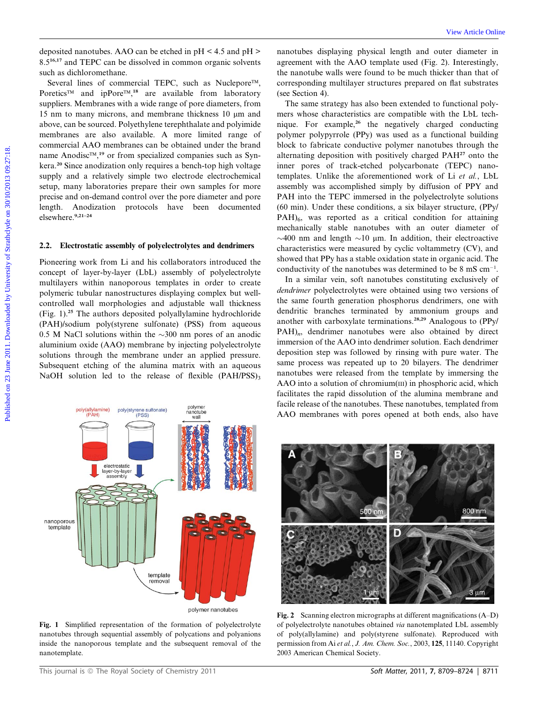deposited nanotubes. AAO can be etched in pH < 4.5 and pH > 8.516,17 and TEPC can be dissolved in common organic solvents such as dichloromethane.

Several lines of commercial TEPC, such as Nuclepore<sup>™</sup>, Poretics<sup>TM</sup> and ipPore<sup>TM</sup>,<sup>18</sup> are available from laboratory suppliers. Membranes with a wide range of pore diameters, from 15 nm to many microns, and membrane thickness 10 µm and above, can be sourced. Polyethylene terephthalate and polyimide membranes are also available. A more limited range of commercial AAO membranes can be obtained under the brand name Anodisc<sup>TM</sup>,<sup>19</sup> or from specialized companies such as Synkera.<sup>20</sup> Since anodization only requires a bench-top high voltage supply and a relatively simple two electrode electrochemical setup, many laboratories prepare their own samples for more precise and on-demand control over the pore diameter and pore length. Anodization protocols have been documented elsewhere.9,21–24

#### 2.2. Electrostatic assembly of polyelectrolytes and dendrimers

Pioneering work from Li and his collaborators introduced the concept of layer-by-layer (LbL) assembly of polyelectrolyte multilayers within nanoporous templates in order to create polymeric tubular nanostructures displaying complex but wellcontrolled wall morphologies and adjustable wall thickness (Fig. 1).<sup>25</sup> The authors deposited polyallylamine hydrochloride (PAH)/sodium poly(styrene sulfonate) (PSS) from aqueous 0.5 M NaCl solutions within the  $\sim$ 300 nm pores of an anodic aluminium oxide (AAO) membrane by injecting polyelectrolyte solutions through the membrane under an applied pressure. Subsequent etching of the alumina matrix with an aqueous NaOH solution led to the release of flexible  $(PAH/PSS)$ <sub>3</sub>

nanotubes displaying physical length and outer diameter in agreement with the AAO template used (Fig. 2). Interestingly, the nanotube walls were found to be much thicker than that of corresponding multilayer structures prepared on flat substrates (see Section 4).

The same strategy has also been extended to functional polymers whose characteristics are compatible with the LbL technique. For example,<sup>26</sup> the negatively charged conducting polymer polypyrrole (PPy) was used as a functional building block to fabricate conductive polymer nanotubes through the alternating deposition with positively charged PAH<sup>27</sup> onto the inner pores of track-etched polycarbonate (TEPC) nanotemplates. Unlike the aforementioned work of Li et al., LbL assembly was accomplished simply by diffusion of PPY and PAH into the TEPC immersed in the polyelectrolyte solutions (60 min). Under these conditions, a six bilayer structure, (PPy/  $PAH$ <sub>6</sub>, was reported as a critical condition for attaining mechanically stable nanotubes with an outer diameter of  $\sim$ 400 nm and length  $\sim$ 10 µm. In addition, their electroactive characteristics were measured by cyclic voltammetry (CV), and showed that PPy has a stable oxidation state in organic acid. The conductivity of the nanotubes was determined to be  $8 \text{ mS cm}^{-1}$ . depended annotable. AAO can be edoled in  $pH \prec 45$  and  $pH \simeq 8$  annotable displaying a bysical leads in our attent of the strathcly and the strathcly and the strathcly corresponding multiple; and the strathcly correspon

In a similar vein, soft nanotubes constituting exclusively of dendrimer polyelectrolytes were obtained using two versions of the same fourth generation phosphorus dendrimers, one with dendritic branches terminated by ammonium groups and another with carboxylate terminations.28,29 Analogous to (PPy/  $PAH$ <sub>n</sub>, dendrimer nanotubes were also obtained by direct immersion of the AAO into dendrimer solution. Each dendrimer deposition step was followed by rinsing with pure water. The same process was repeated up to 20 bilayers. The dendrimer nanotubes were released from the template by immersing the AAO into a solution of chromium(III) in phosphoric acid, which facilitates the rapid dissolution of the alumina membrane and facile release of the nanotubes. These nanotubes, templated from AAO membranes with pores opened at both ends, also have



template removal

electrostatic<br>layer-by-layer<br>assembly

nanoporous template

2003 American Chemical Society. This journal is © The Royal Society of Chemistry 2011 Soft Matter, 2011, 7, 8709-8724 | 8711

800 nm

 $3 \mu m$ 

Fig. 2 Scanning electron micrographs at different magnifications (A–D) of polyelectrolyte nanotubes obtained via nanotemplated LbL assembly of poly(allylamine) and poly(styrene sulfonate). Reproduced with permission from Ai et al., J. Am. Chem. Soc., 2003, 125, 11140. Copyright

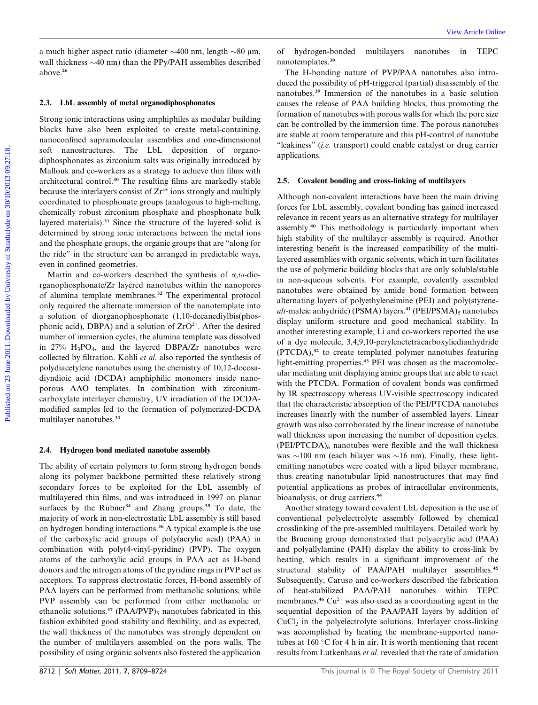a much higher aspect ratio (diameter  $\sim$ 400 nm, length  $\sim$ 80 um, wall thickness  $\sim$ 40 nm) than the PPy/PAH assemblies described above.<sup>26</sup>

#### 2.3. LbL assembly of metal organodiphosphonates

Strong ionic interactions using amphiphiles as modular building blocks have also been exploited to create metal-containing, nanoconfined supramolecular assemblies and one-dimensional soft nanostructures. The LbL deposition of organodiphosphonates as zirconium salts was originally introduced by Mallouk and co-workers as a strategy to achieve thin films with architectural control.<sup>30</sup> The resulting films are markedly stable because the interlayers consist of  $Zr^{4+}$  ions strongly and multiply coordinated to phosphonate groups (analogous to high-melting, chemically robust zirconium phosphate and phosphonate bulk layered materials).<sup>31</sup> Since the structure of the layered solid is determined by strong ionic interactions between the metal ions and the phosphate groups, the organic groups that are ''along for the ride'' in the structure can be arranged in predictable ways, even in confined geometries.

Martin and co-workers described the synthesis of  $\alpha$ ,  $\omega$ -diorganophosphonate/Zr layered nanotubes within the nanopores of alumina template membranes.<sup>32</sup> The experimental protocol only required the alternate immersion of the nanotemplate into a solution of diorganophosphonate (1,10-decanediylbis(phosphonic acid), DBPA) and a solution of  $ZrO^{2+}$ . After the desired number of immersion cycles, the alumina template was dissolved in  $27\%$  H<sub>3</sub>PO<sub>4</sub>, and the layered DBPA/Zr nanotubes were collected by filtration. Kohli et al. also reported the synthesis of polydiacetylene nanotubes using the chemistry of 10,12-docosadiyndioic acid (DCDA) amphiphilic monomers inside nanoporous AAO templates. In combination with zirconiumcarboxylate interlayer chemistry, UV irradiation of the DCDAmodified samples led to the formation of polymerized-DCDA multilayer nanotubes.<sup>33</sup>

#### 2.4. Hydrogen bond mediated nanotube assembly

The ability of certain polymers to form strong hydrogen bonds along its polymer backbone permitted these relatively strong secondary forces to be exploited for the LbL assembly of multilayered thin films, and was introduced in 1997 on planar surfaces by the Rubner<sup>34</sup> and Zhang groups.<sup>35</sup> To date, the majority of work in non-electrostatic LbL assembly is still based on hydrogen bonding interactions.<sup>36</sup> A typical example is the use of the carboxylic acid groups of poly(acrylic acid) (PAA) in combination with poly(4-vinyl-pyridine) (PVP). The oxygen atoms of the carboxylic acid groups in PAA act as H-bond donors and the nitrogen atoms of the pyridine rings in PVP act as acceptors. To suppress electrostatic forces, H-bond assembly of PAA layers can be performed from methanolic solutions, while PVP assembly can be performed from either methanolic or ethanolic solutions.<sup>37</sup> (PAA/PVP)<sub>5</sub> nanotubes fabricated in this fashion exhibited good stability and flexibility, and as expected, the wall thickness of the nanotubes was strongly dependent on the number of multilayers assembled on the pore walls. The possibility of using organic solvents also fostered the application

of hydrogen-bonded multilayers nanotubes in TEPC nanotemplates.<sup>38</sup>

The H-bonding nature of PVP/PAA nanotubes also introduced the possibility of pH-triggered (partial) disassembly of the nanotubes.<sup>39</sup> Immersion of the nanotubes in a basic solution causes the release of PAA building blocks, thus promoting the formation of nanotubes with porous walls for which the pore size can be controlled by the immersion time. The porous nanotubes are stable at room temperature and this pH-control of nanotube "leakiness" (i.e. transport) could enable catalyst or drug carrier applications.

#### 2.5. Covalent bonding and cross-linking of multilayers

Although non-covalent interactions have been the main driving forces for LbL assembly, covalent bonding has gained increased relevance in recent years as an alternative strategy for multilayer assembly.<sup>40</sup> This methodology is particularly important when high stability of the multilayer assembly is required. Another interesting benefit is the increased compatibility of the multilayered assemblies with organic solvents, which in turn facilitates the use of polymeric building blocks that are only soluble/stable in non-aqueous solvents. For example, covalently assembled nanotubes were obtained by amide bond formation between alternating layers of polyethyleneimine (PEI) and poly(styrenealt-maleic anhydride) (PSMA) layers.<sup>41</sup> (PEI/PSMA)<sub>5</sub> nanotubes display uniform structure and good mechanical stability. In another interesting example, Li and co-workers reported the use of a dye molecule, 3,4,9,10-perylenetetracarboxylicdianhydride (PTCDA),<sup>42</sup> to create templated polymer nanotubes featuring light-emitting properties.<sup>43</sup> PEI was chosen as the macromolecular mediating unit displaying amine groups that are able to react with the PTCDA. Formation of covalent bonds was confirmed by IR spectroscopy whereas UV-visible spectroscopy indicated that the characteristic absorption of the PEI/PTCDA nanotubes increases linearly with the number of assembled layers. Linear growth was also corroborated by the linear increase of nanotube wall thickness upon increasing the number of deposition cycles.  $(PEI/PTCDA)$ <sub>6</sub> nanotubes were flexible and the wall thickness was  $\sim$ 100 nm (each bilayer was  $\sim$ 16 nm). Finally, these lightemitting nanotubes were coated with a lipid bilayer membrane, thus creating nanotubular lipid nanostructures that may find potential applications as probes of intracellular environments, bioanalysis, or drug carriers.<sup>44</sup> an much higher aspect ratio diameter -400 nm. length -80 nm. of bytogen-bonded multiplyers nanoteels in TEC and<br>some solution and FPyPAM assembly of metal organization secretive in the Resultive of FVPPAA monethes in Euro

> Another strategy toward covalent LbL deposition is the use of conventional polyelectrolyte assembly followed by chemical crosslinking of the pre-assembled multilayers. Detailed work by the Bruening group demonstrated that polyacrylic acid (PAA) and polyallylamine (PAH) display the ability to cross-link by heating, which results in a significant improvement of the structural stability of PAA/PAH multilayer assemblies.<sup>45</sup> Subsequently, Caruso and co-workers described the fabrication of heat-stabilized PAA/PAH nanotubes within TEPC membranes. $46 \text{ Cu}^{2+}$  was also used as a coordinating agent in the sequential deposition of the PAA/PAH layers by addition of  $CuCl<sub>2</sub>$  in the polyelectrolyte solutions. Interlayer cross-linking was accomplished by heating the membrane-supported nanotubes at 160 $\degree$ C for 4 h in air. It is worth mentioning that recent results from Lutkenhaus et al. revealed that the rate of amidation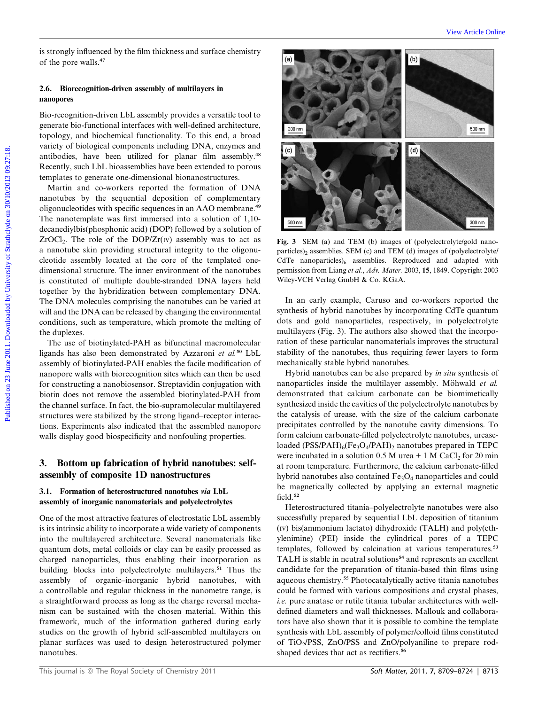is strongly influenced by the film thickness and surface chemistry of the pore walls.<sup>47</sup>

## 2.6. Biorecognition-driven assembly of multilayers in nanopores

Bio-recognition-driven LbL assembly provides a versatile tool to generate bio-functional interfaces with well-defined architecture, topology, and biochemical functionality. To this end, a broad variety of biological components including DNA, enzymes and antibodies, have been utilized for planar film assembly.<sup>48</sup> Recently, such LbL bioassemblies have been extended to porous templates to generate one-dimensional bionanostructures.

Martin and co-workers reported the formation of DNA nanotubes by the sequential deposition of complementary oligonucleotides with specific sequences in an AAO membrane.<sup>49</sup> The nanotemplate was first immersed into a solution of 1,10 decanediylbis(phosphonic acid) (DOP) followed by a solution of  $ZrOCl<sub>2</sub>$ . The role of the DOP/ $Zr(IV)$  assembly was to act as a nanotube skin providing structural integrity to the oligonucleotide assembly located at the core of the templated onedimensional structure. The inner environment of the nanotubes is constituted of multiple double-stranded DNA layers held together by the hybridization between complementary DNA. The DNA molecules comprising the nanotubes can be varied at will and the DNA can be released by changing the environmental conditions, such as temperature, which promote the melting of the duplexes.

The use of biotinylated-PAH as bifunctinal macromolecular ligands has also been demonstrated by Azzaroni et al.<sup>50</sup> LbL assembly of biotinylated-PAH enables the facile modification of nanopore walls with biorecognition sites which can then be used for constructing a nanobiosensor. Streptavidin conjugation with biotin does not remove the assembled biotinylated-PAH from the channel surface. In fact, the bio-supramolecular multilayered structures were stabilized by the strong ligand–receptor interactions. Experiments also indicated that the assembled nanopore walls display good biospecificity and nonfouling properties.

# 3. Bottom up fabrication of hybrid nanotubes: selfassembly of composite 1D nanostructures

## 3.1. Formation of heterostructured nanotubes via LbL assembly of inorganic nanomaterials and polyelectrolytes

One of the most attractive features of electrostatic LbL assembly is its intrinsic ability to incorporate a wide variety of components into the multilayered architecture. Several nanomaterials like quantum dots, metal colloids or clay can be easily processed as charged nanoparticles, thus enabling their incorporation as building blocks into polyelectrolyte multilayers.<sup>51</sup> Thus the assembly of organic–inorganic hybrid nanotubes, with a controllable and regular thickness in the nanometre range, is a straightforward process as long as the charge reversal mechanism can be sustained with the chosen material. Within this framework, much of the information gathered during early studies on the growth of hybrid self-assembled multilayers on planar surfaces was used to design heterostructured polymer nanotubes.



Fig. 3 SEM (a) and TEM (b) images of (polyelectrolyte/gold nanoparticles)<sub>2</sub> assemblies. SEM (c) and TEM (d) images of (polyelectrolyte/ CdTe nanoparticles) $_6$  assemblies. Reproduced and adapted with permission from Liang et al., Adv. Mater. 2003, 15, 1849. Copyright 2003 Wiley-VCH Verlag GmbH & Co. KGaA.

In an early example, Caruso and co-workers reported the synthesis of hybrid nanotubes by incorporating CdTe quantum dots and gold nanoparticles, respectively, in polyelectrolyte multilayers (Fig. 3). The authors also showed that the incorporation of these particular nanomaterials improves the structural stability of the nanotubes, thus requiring fewer layers to form mechanically stable hybrid nanotubes.

Hybrid nanotubes can be also prepared by in situ synthesis of nanoparticles inside the multilayer assembly. Möhwald et al. demonstrated that calcium carbonate can be biomimetically synthesized inside the cavities of the polyelectrolyte nanotubes by the catalysis of urease, with the size of the calcium carbonate precipitates controlled by the nanotube cavity dimensions. To form calcium carbonate-filled polyelectrolyte nanotubes, ureaseloaded (PSS/PAH) $_6$ (Fe<sub>3</sub>O<sub>4</sub>/PAH)<sub>2</sub> nanotubes prepared in TEPC were incubated in a solution  $0.5$  M urea  $+1$  M CaCl<sub>2</sub> for 20 min at room temperature. Furthermore, the calcium carbonate-filled hybrid nanotubes also contained  $Fe<sub>3</sub>O<sub>4</sub>$  nanoparticles and could be magnetically collected by applying an external magnetic field.<sup>52</sup>

Heterostructured titania–polyelectrolyte nanotubes were also successfully prepared by sequential LbL deposition of titanium (IV) bis(ammonium lactato) dihydroxide (TALH) and poly(ethylenimine) (PEI) inside the cylindrical pores of a TEPC templates, followed by calcination at various temperatures.<sup>53</sup> TALH is stable in neutral solutions<sup>54</sup> and represents an excellent candidate for the preparation of titania-based thin films using aqueous chemistry.<sup>55</sup> Photocatalytically active titania nanotubes could be formed with various compositions and crystal phases, i.e. pure anatase or rutile titania tubular architectures with welldefined diameters and wall thicknesses. Mallouk and collaborators have also shown that it is possible to combine the template synthesis with LbL assembly of polymer/colloid films constituted of TiO2/PSS, ZnO/PSS and ZnO/polyaniline to prepare rodshaped devices that act as rectifiers.<sup>56</sup>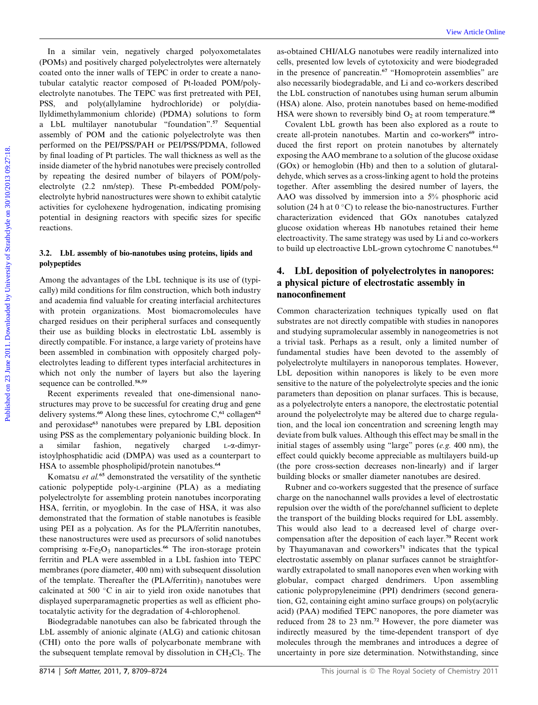In a similar vein, negatively charged polyoxometalates (POMs) and positively charged polyelectrolytes were alternately coated onto the inner walls of TEPC in order to create a nanotubular catalytic reactor composed of Pt-loaded POM/polyelectrolyte nanotubes. The TEPC was first pretreated with PEI, PSS, and poly(allylamine hydrochloride) or poly(diallyldimethylammonium chloride) (PDMA) solutions to form a LbL multilayer nanotubular ''foundation''.<sup>57</sup> Sequential assembly of POM and the cationic polyelectrolyte was then performed on the PEI/PSS/PAH or PEI/PSS/PDMA, followed by final loading of Pt particles. The wall thickness as well as the inside diameter of the hybrid nanotubes were precisely controlled by repeating the desired number of bilayers of POM/polyelectrolyte (2.2 nm/step). These Pt-embedded POM/polyelectrolyte hybrid nanostructures were shown to exhibit catalytic activities for cyclohexene hydrogenation, indicating promising potential in designing reactors with specific sizes for specific reactions. **Published on 23** Automatic strained by the constrained and the strathclass control in the proposition of the strathclass procedure on 2012. The control is the strathclass procedure on 30 Automatic strained by the strathcl

## 3.2. LbL assembly of bio-nanotubes using proteins, lipids and polypeptides

Among the advantages of the LbL technique is its use of (typically) mild conditions for film construction, which both industry and academia find valuable for creating interfacial architectures with protein organizations. Most biomacromolecules have charged residues on their peripheral surfaces and consequently their use as building blocks in electrostatic LbL assembly is directly compatible. For instance, a large variety of proteins have been assembled in combination with oppositely charged polyelectrolytes leading to different types interfacial architectures in which not only the number of layers but also the layering sequence can be controlled.<sup>58,59</sup>

Recent experiments revealed that one-dimensional nanostructures may prove to be successful for creating drug and gene delivery systems.<sup>60</sup> Along these lines, cytochrome C,<sup>61</sup> collagen<sup>62</sup> and peroxidase<sup>63</sup> nanotubes were prepared by LBL deposition using PSS as the complementary polyanionic building block. In a similar fashion, negatively charged L-a-dimyristoylphosphatidic acid (DMPA) was used as a counterpart to HSA to assemble phospholipid/protein nanotubes.<sup>64</sup>

Komatsu et al.<sup>65</sup> demonstrated the versatility of the synthetic cationic polypeptide poly-L-arginine (PLA) as a mediating polyelectrolyte for assembling protein nanotubes incorporating HSA, ferritin, or myoglobin. In the case of HSA, it was also demonstrated that the formation of stable nanotubes is feasible using PEI as a polycation. As for the PLA/ferritin nanotubes, these nanostructures were used as precursors of solid nanotubes comprising  $\alpha$ -Fe<sub>2</sub>O<sub>3</sub> nanoparticles.<sup>66</sup> The iron-storage protein ferritin and PLA were assembled in a LbL fashion into TEPC membranes (pore diameter, 400 nm) with subsequent dissolution of the template. Thereafter the  $(PLA/ferritin)$ <sub>3</sub> nanotubes were calcinated at 500 $\degree$ C in air to yield iron oxide nanotubes that displayed superparamagnetic properties as well as efficient photocatalytic activity for the degradation of 4-chlorophenol.

Biodegradable nanotubes can also be fabricated through the LbL assembly of anionic alginate (ALG) and cationic chitosan (CHI) onto the pore walls of polycarbonate membrane with the subsequent template removal by dissolution in  $CH_2Cl_2$ . The

as-obtained CHI/ALG nanotubes were readily internalized into cells, presented low levels of cytotoxicity and were biodegraded in the presence of pancreatin.<sup>67</sup> "Homoprotein assemblies" are also necessarily biodegradable, and Li and co-workers described the LbL construction of nanotubes using human serum albumin (HSA) alone. Also, protein nanotubes based on heme-modified HSA were shown to reversibly bind  $O_2$  at room temperature.<sup>68</sup>

Covalent LbL growth has been also explored as a route to create all-protein nanotubes. Martin and co-workers<sup>69</sup> introduced the first report on protein nanotubes by alternately exposing the AAO membrane to a solution of the glucose oxidase (GOx) or hemoglobin (Hb) and then to a solution of glutaraldehyde, which serves as a cross-linking agent to hold the proteins together. After assembling the desired number of layers, the AAO was dissolved by immersion into a 5% phosphoric acid solution (24 h at  $0^{\circ}$ C) to release the bio-nanostructures. Further characterization evidenced that GOx nanotubes catalyzed glucose oxidation whereas Hb nanotubes retained their heme electroactivity. The same strategy was used by Li and co-workers to build up electroactive LbL-grown cytochrome C nanotubes.<sup>61</sup>

# 4. LbL deposition of polyelectrolytes in nanopores: a physical picture of electrostatic assembly in nanoconfinement

Common characterization techniques typically used on flat substrates are not directly compatible with studies in nanopores and studying supramolecular assembly in nanogeometries is not a trivial task. Perhaps as a result, only a limited number of fundamental studies have been devoted to the assembly of polyelectrolyte multilayers in nanoporous templates. However, LbL deposition within nanopores is likely to be even more sensitive to the nature of the polyelectrolyte species and the ionic parameters than deposition on planar surfaces. This is because, as a polyelectrolyte enters a nanopore, the electrostatic potential around the polyelectrolyte may be altered due to charge regulation, and the local ion concentration and screening length may deviate from bulk values. Although this effect may be small in the initial stages of assembly using "large" pores (e.g. 400 nm), the effect could quickly become appreciable as multilayers build-up (the pore cross-section decreases non-linearly) and if larger building blocks or smaller diameter nanotubes are desired.

Rubner and co-workers suggested that the presence of surface charge on the nanochannel walls provides a level of electrostatic repulsion over the width of the pore/channel sufficient to deplete the transport of the building blocks required for LbL assembly. This would also lead to a decreased level of charge overcompensation after the deposition of each layer.<sup>70</sup> Recent work by Thayumanavan and coworkers<sup>71</sup> indicates that the typical electrostatic assembly on planar surfaces cannot be straightforwardly extrapolated to small nanopores even when working with globular, compact charged dendrimers. Upon assembling cationic polypropyleneimine (PPI) dendrimers (second generation, G2, containing eight amino surface groups) on poly(acrylic acid) (PAA) modified TEPC nanopores, the pore diameter was reduced from 28 to 23 nm.<sup>72</sup> However, the pore diameter was indirectly measured by the time-dependent transport of dye molecules through the membranes and introduces a degree of uncertainty in pore size determination. Notwithstanding, since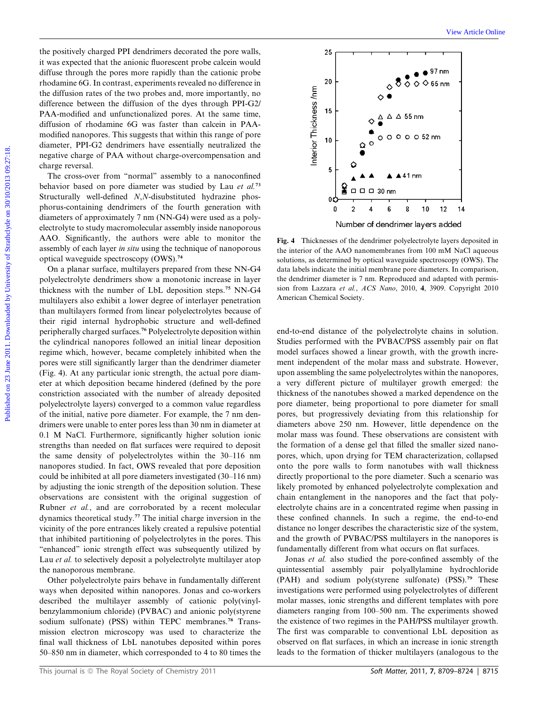the positively charged PPI dendrimers decorated the pore walls, it was expected that the anionic fluorescent probe calcein would diffuse through the pores more rapidly than the cationic probe rhodamine 6G. In contrast, experiments revealed no difference in the diffusion rates of the two probes and, more importantly, no difference between the diffusion of the dyes through PPI-G2/ PAA-modified and unfunctionalized pores. At the same time, diffusion of rhodamine 6G was faster than calcein in PAAmodified nanopores. This suggests that within this range of pore diameter, PPI-G2 dendrimers have essentially neutralized the negative charge of PAA without charge-overcompensation and charge reversal.

The cross-over from ''normal'' assembly to a nanoconfined behavior based on pore diameter was studied by Lau et al.<sup>73</sup> Structurally well-defined N,N-disubstituted hydrazine phosphorus-containing dendrimers of the fourth generation with diameters of approximately 7 nm (NN-G4) were used as a polyelectrolyte to study macromolecular assembly inside nanoporous AAO. Significantly, the authors were able to monitor the assembly of each layer in situ using the technique of nanoporous optical waveguide spectroscopy (OWS).<sup>74</sup>

On a planar surface, multilayers prepared from these NN-G4 polyelectrolyte dendrimers show a monotonic increase in layer thickness with the number of LbL deposition steps.<sup>75</sup> NN-G4 multilayers also exhibit a lower degree of interlayer penetration than multilayers formed from linear polyelectrolytes because of their rigid internal hydrophobic structure and well-defined peripherally charged surfaces.<sup>76</sup> Polyelectrolyte deposition within the cylindrical nanopores followed an initial linear deposition regime which, however, became completely inhibited when the pores were still significantly larger than the dendrimer diameter (Fig. 4). At any particular ionic strength, the actual pore diameter at which deposition became hindered (defined by the pore constriction associated with the number of already deposited polyelectrolyte layers) converged to a common value regardless of the initial, native pore diameter. For example, the 7 nm dendrimers were unable to enter pores less than 30 nm in diameter at 0.1 M NaCl. Furthermore, significantly higher solution ionic strengths than needed on flat surfaces were required to deposit the same density of polyelectrolytes within the 30–116 nm nanopores studied. In fact, OWS revealed that pore deposition could be inhibited at all pore diameters investigated (30–116 nm) by adjusting the ionic strength of the deposition solution. These observations are consistent with the original suggestion of Rubner et al., and are corroborated by a recent molecular dynamics theoretical study.<sup>77</sup> The initial charge inversion in the vicinity of the pore entrances likely created a repulsive potential that inhibited partitioning of polyelectrolytes in the pores. This ''enhanced'' ionic strength effect was subsequently utilized by Lau et al. to selectively deposit a polyelectrolyte multilayer atop the nanoporous membrane. The positively charged PPI dendriment decorated in prior woulds.<br>
If we are solved that is a more interesting revealed to the density of  $\theta$  or  $\theta$  or  $\theta$  or  $\theta$  or  $\theta$  or  $\theta$  or  $\theta$  or  $\theta$  or  $\theta$  or  $\theta$  or  $\theta$ 

Other polyelectrolyte pairs behave in fundamentally different ways when deposited within nanopores. Jonas and co-workers described the multilayer assembly of cationic poly(vinylbenzylammonium chloride) (PVBAC) and anionic poly(styrene sodium sulfonate) (PSS) within TEPC membranes.<sup>78</sup> Transmission electron microscopy was used to characterize the final wall thickness of LbL nanotubes deposited within pores 50–850 nm in diameter, which corresponded to 4 to 80 times the



Fig. 4 Thicknesses of the dendrimer polyelectrolyte layers deposited in the interior of the AAO nanomembranes from 100 mM NaCl aqueous solutions, as determined by optical waveguide spectroscopy (OWS). The data labels indicate the initial membrane pore diameters. In comparison, the dendrimer diameter is 7 nm. Reproduced and adapted with permission from Lazzara et al., ACS Nano, 2010, 4, 3909. Copyright 2010 American Chemical Society.

end-to-end distance of the polyelectrolyte chains in solution. Studies performed with the PVBAC/PSS assembly pair on flat model surfaces showed a linear growth, with the growth increment independent of the molar mass and substrate. However, upon assembling the same polyelectrolytes within the nanopores, a very different picture of multilayer growth emerged: the thickness of the nanotubes showed a marked dependence on the pore diameter, being proportional to pore diameter for small pores, but progressively deviating from this relationship for diameters above 250 nm. However, little dependence on the molar mass was found. These observations are consistent with the formation of a dense gel that filled the smaller sized nanopores, which, upon drying for TEM characterization, collapsed onto the pore walls to form nanotubes with wall thickness directly proportional to the pore diameter. Such a scenario was likely promoted by enhanced polyelectrolyte complexation and chain entanglement in the nanopores and the fact that polyelectrolyte chains are in a concentrated regime when passing in these confined channels. In such a regime, the end-to-end distance no longer describes the characteristic size of the system, and the growth of PVBAC/PSS multilayers in the nanopores is fundamentally different from what occurs on flat surfaces.

Jonas et al. also studied the pore-confined assembly of the quintessential assembly pair polyallylamine hydrochloride (PAH) and sodium poly(styrene sulfonate) (PSS).<sup>79</sup> These investigations were performed using polyelectrolytes of different molar masses, ionic strengths and different templates with pore diameters ranging from 100–500 nm. The experiments showed the existence of two regimes in the PAH/PSS multilayer growth. The first was comparable to conventional LbL deposition as observed on flat surfaces, in which an increase in ionic strength leads to the formation of thicker multilayers (analogous to the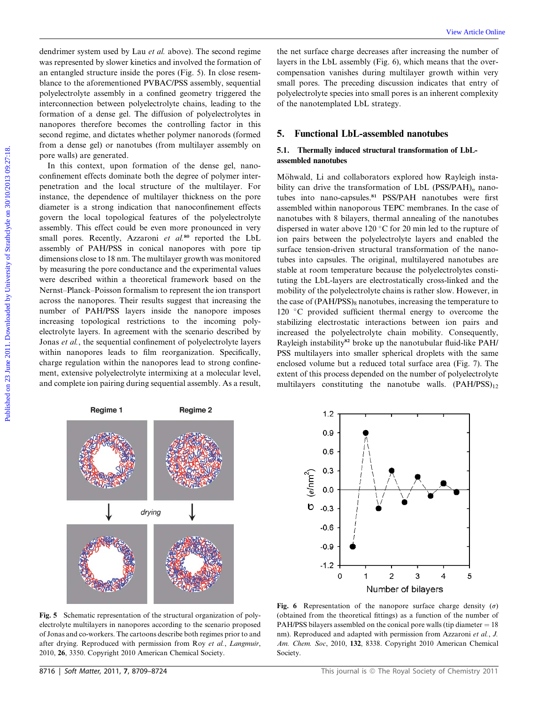dendrimer system used by Lau et al. above). The second regime was represented by slower kinetics and involved the formation of an entangled structure inside the pores (Fig. 5). In close resemblance to the aforementioned PVBAC/PSS assembly, sequential polyelectrolyte assembly in a confined geometry triggered the interconnection between polyelectrolyte chains, leading to the formation of a dense gel. The diffusion of polyelectrolytes in nanopores therefore becomes the controlling factor in this second regime, and dictates whether polymer nanorods (formed from a dense gel) or nanotubes (from multilayer assembly on pore walls) are generated.

In this context, upon formation of the dense gel, nanoconfinement effects dominate both the degree of polymer interpenetration and the local structure of the multilayer. For instance, the dependence of multilayer thickness on the pore diameter is a strong indication that nanoconfinement effects govern the local topological features of the polyelectrolyte assembly. This effect could be even more pronounced in very small pores. Recently, Azzaroni et al.<sup>80</sup> reported the LbL assembly of PAH/PSS in conical nanopores with pore tip dimensions close to 18 nm. The multilayer growth was monitored by measuring the pore conductance and the experimental values were described within a theoretical framework based on the Nernst–Planck–Poisson formalism to represent the ion transport across the nanopores. Their results suggest that increasing the number of PAH/PSS layers inside the nanopore imposes increasing topological restrictions to the incoming polyelectrolyte layers. In agreement with the scenario described by Jonas et al., the sequential confinement of polyelectrolyte layers within nanopores leads to film reorganization. Specifically, charge regulation within the nanopores lead to strong confinement, extensive polyelectrolyte intermixing at a molecular level, and complete ion pairing during sequential assembly. As a result, densine system used by Lan et al show). The second regime the act satisfie charge decrease after increase into more and the system in the 10. In a second on the system of the system on 10. In the system of the Constrainer

the net surface charge decreases after increasing the number of layers in the LbL assembly (Fig. 6), which means that the overcompensation vanishes during multilayer growth within very small pores. The preceding discussion indicates that entry of polyelectrolyte species into small pores is an inherent complexity of the nanotemplated LbL strategy.

#### 5. Functional LbL-assembled nanotubes

## 5.1. Thermally induced structural transformation of LbLassembled nanotubes

Möhwald, Li and collaborators explored how Rayleigh instability can drive the transformation of LbL (PSS/PAH)<sub>n</sub> nanotubes into nano-capsules.<sup>81</sup> PSS/PAH nanotubes were first assembled within nanoporous TEPC membranes. In the case of nanotubes with 8 bilayers, thermal annealing of the nanotubes dispersed in water above 120  $^{\circ}$ C for 20 min led to the rupture of ion pairs between the polyelectrolyte layers and enabled the surface tension-driven structural transformation of the nanotubes into capsules. The original, multilayered nanotubes are stable at room temperature because the polyelectrolytes constituting the LbL-layers are electrostatically cross-linked and the mobility of the polyelectrolyte chains is rather slow. However, in the case of  $(PAH/PSS)_8$  nanotubes, increasing the temperature to 120 °C provided sufficient thermal energy to overcome the stabilizing electrostatic interactions between ion pairs and increased the polyelectrolyte chain mobility. Consequently, Rayleigh instability<sup>82</sup> broke up the nanotubular fluid-like PAH/ PSS multilayers into smaller spherical droplets with the same enclosed volume but a reduced total surface area (Fig. 7). The extent of this process depended on the number of polyelectrolyte multilayers constituting the nanotube walls.  $(PAH/PSS)_{12}$ 



Fig. 5 Schematic representation of the structural organization of polyelectrolyte multilayers in nanopores according to the scenario proposed of Jonas and co-workers. The cartoons describe both regimes prior to and after drying. Reproduced with permission from Roy et al., Langmuir, 2010, 26, 3350. Copyright 2010 American Chemical Society.



Fig. 6 Representation of the nanopore surface charge density  $(\sigma)$ (obtained from the theoretical fittings) as a function of the number of PAH/PSS bilayers assembled on the conical pore walls (tip diameter  $= 18$ nm). Reproduced and adapted with permission from Azzaroni et al., J. Am. Chem. Soc, 2010, 132, 8338. Copyright 2010 American Chemical Society.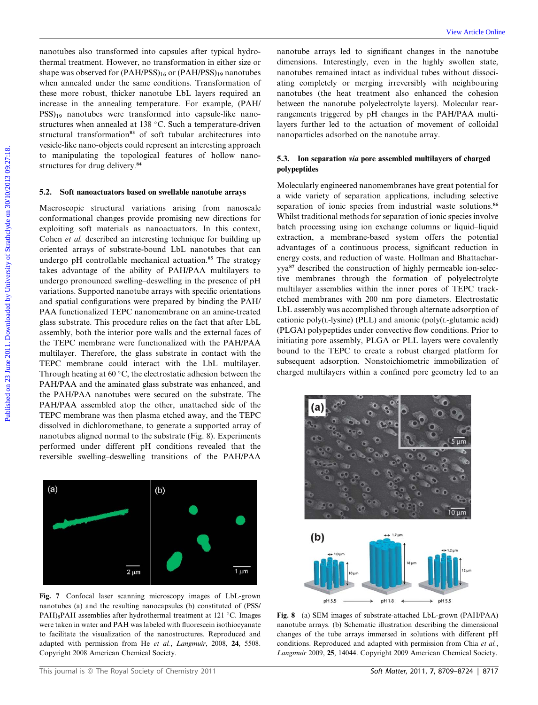nanotubes also transformed into capsules after typical hydrothermal treatment. However, no transformation in either size or shape was observed for  $(PAH/PSS)_{16}$  or  $(PAH/PSS)_{19}$  nanotubes when annealed under the same conditions. Transformation of these more robust, thicker nanotube LbL layers required an increase in the annealing temperature. For example, (PAH/ PSS)19 nanotubes were transformed into capsule-like nanostructures when annealed at  $138 \text{ °C}$ . Such a temperature-driven structural transformation<sup>83</sup> of soft tubular architectures into vesicle-like nano-objects could represent an interesting approach to manipulating the topological features of hollow nanostructures for drug delivery.<sup>84</sup>

#### 5.2. Soft nanoactuators based on swellable nanotube arrays

Macroscopic structural variations arising from nanoscale conformational changes provide promising new directions for exploiting soft materials as nanoactuators. In this context, Cohen et al. described an interesting technique for building up oriented arrays of substrate-bound LbL nanotubes that can undergo pH controllable mechanical actuation.<sup>85</sup> The strategy takes advantage of the ability of PAH/PAA multilayers to undergo pronounced swelling–deswelling in the presence of pH variations. Supported nanotube arrays with specific orientations and spatial configurations were prepared by binding the PAH/ PAA functionalized TEPC nanomembrane on an amine-treated glass substrate. This procedure relies on the fact that after LbL assembly, both the interior pore walls and the external faces of the TEPC membrane were functionalized with the PAH/PAA multilayer. Therefore, the glass substrate in contact with the TEPC membrane could interact with the LbL multilayer. Through heating at 60  $\degree$ C, the electrostatic adhesion between the PAH/PAA and the aminated glass substrate was enhanced, and the PAH/PAA nanotubes were secured on the substrate. The PAH/PAA assembled atop the other, unattached side of the TEPC membrane was then plasma etched away, and the TEPC dissolved in dichloromethane, to generate a supported array of nanotubes aligned normal to the substrate (Fig. 8). Experiments performed under different pH conditions revealed that the reversible swelling–deswelling transitions of the PAH/PAA manches also transformed into experience of the priced hydro-<br>manches armove interest on earlier on 2011. The matter of the contents of the strathcolar the strathcolar the strathcolar the strathcolar the strathcolar the s



Fig. 7 Confocal laser scanning microscopy images of LbL-grown nanotubes (a) and the resulting nanocapsules (b) constituted of (PSS/  $PAH$ )<sub>8</sub>PAH assemblies after hydrothermal treatment at 121 °C. Images were taken in water and PAH was labeled with fluorescein isothiocyanate to facilitate the visualization of the nanostructures. Reproduced and adapted with permission from He et al., Langmuir, 2008, 24, 5508. Copyright 2008 American Chemical Society.

nanotube arrays led to significant changes in the nanotube dimensions. Interestingly, even in the highly swollen state, nanotubes remained intact as individual tubes without dissociating completely or merging irreversibly with neighbouring nanotubes (the heat treatment also enhanced the cohesion between the nanotube polyelectrolyte layers). Molecular rearrangements triggered by pH changes in the PAH/PAA multilayers further led to the actuation of movement of colloidal nanoparticles adsorbed on the nanotube array.

## 5.3. Ion separation via pore assembled multilayers of charged polypeptides

Molecularly engineered nanomembranes have great potential for a wide variety of separation applications, including selective separation of ionic species from industrial waste solutions.<sup>86</sup> Whilst traditional methods for separation of ionic species involve batch processing using ion exchange columns or liquid–liquid extraction, a membrane-based system offers the potential advantages of a continuous process, significant reduction in energy costs, and reduction of waste. Hollman and Bhattacharyya<sup>87</sup> described the construction of highly permeable ion-selective membranes through the formation of polyelectrolyte multilayer assemblies within the inner pores of TEPC tracketched membranes with 200 nm pore diameters. Electrostatic LbL assembly was accomplished through alternate adsorption of cationic poly(L-lysine) (PLL) and anionic (poly(L-glutamic acid) (PLGA) polypeptides under convective flow conditions. Prior to initiating pore assembly, PLGA or PLL layers were covalently bound to the TEPC to create a robust charged platform for subsequent adsorption. Nonstoichiometric immobilization of charged multilayers within a confined pore geometry led to an



Fig. 8 (a) SEM images of substrate-attached LbL-grown (PAH/PAA) nanotube arrays. (b) Schematic illustration describing the dimensional changes of the tube arrays immersed in solutions with different pH conditions. Reproduced and adapted with permission from Chia et al., Langmuir 2009, 25, 14044. Copyright 2009 American Chemical Society.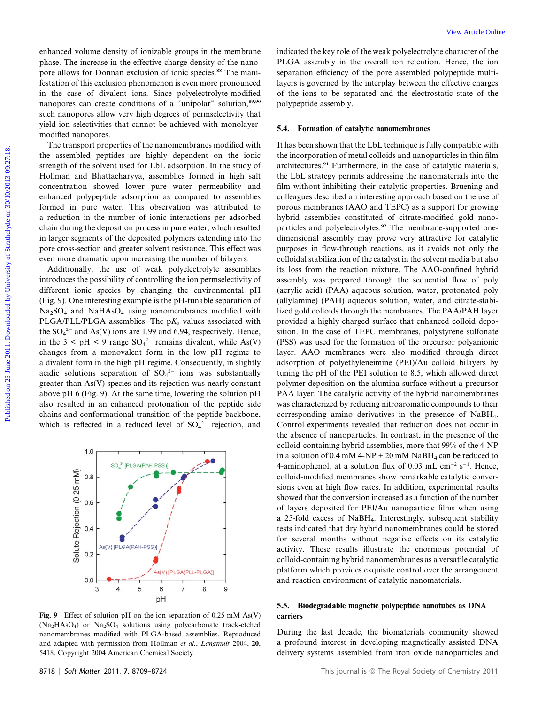enhanced volume density of ionizable groups in the membrane phase. The increase in the effective charge density of the nanopore allows for Donnan exclusion of ionic species.<sup>88</sup> The manifestation of this exclusion phenomenon is even more pronounced in the case of divalent ions. Since polyelectrolyte-modified nanopores can create conditions of a "unipolar" solution,<sup>89,90</sup> such nanopores allow very high degrees of permselectivity that yield ion selectivities that cannot be achieved with monolayermodified nanopores.

The transport properties of the nanomembranes modified with the assembled peptides are highly dependent on the ionic strength of the solvent used for LbL adsorption. In the study of Hollman and Bhattacharyya, assemblies formed in high salt concentration showed lower pure water permeability and enhanced polypeptide adsorption as compared to assemblies formed in pure water. This observation was attributed to a reduction in the number of ionic interactions per adsorbed chain during the deposition process in pure water, which resulted in larger segments of the deposited polymers extending into the pore cross-section and greater solvent resistance. This effect was even more dramatic upon increasing the number of bilayers.

Additionally, the use of weak polyelectrolyte assemblies introduces the possibility of controlling the ion permselectivity of different ionic species by changing the environmental pH (Fig. 9). One interesting example is the pH-tunable separation of  $Na<sub>2</sub>SO<sub>4</sub>$  and NaHAsO<sub>4</sub> using nanomembranes modified with PLGA/PLL/PLGA assemblies. The  $pK_a$  values associated with the  $SO_4^2$ <sup>-</sup> and As(V) ions are 1.99 and 6.94, respectively. Hence, in the  $3 < pH < 9$  range  $SO_4^{2-}$  remains divalent, while As(V) changes from a monovalent form in the low pH regime to a divalent form in the high pH regime. Consequently, in slightly acidic solutions separation of  $SO_4^2$  ions was substantially greater than As(V) species and its rejection was nearly constant above pH 6 (Fig. 9). At the same time, lowering the solution pH also resulted in an enhanced protonation of the peptide side chains and conformational transition of the peptide backbone, which is reflected in a reduced level of  $SO_4^2$  rejection, and



Fig. 9 Effect of solution pH on the ion separation of 0.25 mM As(V)  $(Na<sub>2</sub>HAsO<sub>4</sub>)$  or  $Na<sub>2</sub>SO<sub>4</sub>$  solutions using polycarbonate track-etched nanomembranes modified with PLGA-based assemblies. Reproduced and adapted with permission from Hollman et al., Langmuir 2004, 20, 5418. Copyright 2004 American Chemical Society.

indicated the key role of the weak polyelectrolyte character of the PLGA assembly in the overall ion retention. Hence, the ion separation efficiency of the pore assembled polypeptide multilayers is governed by the interplay between the effective charges of the ions to be separated and the electrostatic state of the polypeptide assembly.

#### 5.4. Formation of catalytic nanomembranes

It has been shown that the LbL technique is fully compatible with the incorporation of metal colloids and nanoparticles in thin film architectures.<sup>91</sup> Furthermore, in the case of catalytic materials, the LbL strategy permits addressing the nanomaterials into the film without inhibiting their catalytic properties. Bruening and colleagues described an interesting approach based on the use of porous membranes (AAO and TEPC) as a support for growing hybrid assemblies constituted of citrate-modified gold nanoparticles and polyelectrolytes.<sup>92</sup> The membrane-supported onedimensional assembly may prove very attractive for catalytic purposes in flow-through reactions, as it avoids not only the colloidal stabilization of the catalyst in the solvent media but also its loss from the reaction mixture. The AAO-confined hybrid assembly was prepared through the sequential flow of poly (acrylic acid) (PAA) aqueous solution, water, protonated poly (allylamine) (PAH) aqueous solution, water, and citrate-stabilized gold colloids through the membranes. The PAA/PAH layer provided a highly charged surface that enhanced colloid deposition. In the case of TEPC membranes, polystyrene sulfonate (PSS) was used for the formation of the precursor polyanionic layer. AAO membranes were also modified through direct adsorption of polyethyleneimine (PEI)/Au colloid bilayers by tuning the pH of the PEI solution to 8.5, which allowed direct polymer deposition on the alumina surface without a precursor PAA layer. The catalytic activity of the hybrid nanomembranes was characterized by reducing nitroaromatic compounds to their corresponding amino derivatives in the presence of NaBH4. Control experiments revealed that reduction does not occur in the absence of nanoparticles. In contrast, in the presence of the colloid-containing hybrid assemblies, more that 99% of the 4-NP in a solution of 0.4 mM 4-NP + 20 mM NaBH<sub>4</sub> can be reduced to 4-aminophenol, at a solution flux of 0.03 mL cm<sup>-2</sup> s<sup>-1</sup>. Hence, colloid-modified membranes show remarkable catalytic conversions even at high flow rates. In addition, experimental results showed that the conversion increased as a function of the number of layers deposited for PEI/Au nanoparticle films when using a 25-fold excess of NaBH4. Interestingly, subsequent stability tests indicated that dry hybrid nanomembranes could be stored for several months without negative effects on its catalytic activity. These results illustrate the enormous potential of colloid-containing hybrid nanomembranes as a versatile catalytic platform which provides exquisite control over the arrangement and reaction environment of catalytic nanomaterials. collated volume density of ionizable groups in the membrac. Indicated the leg vob of the weak polyeletativy the antenna of the membrane. This weak is the strathcluster of the membrane and the density of the post is the me

## 5.5. Biodegradable magnetic polypeptide nanotubes as DNA carriers

During the last decade, the biomaterials community showed a profound interest in developing magnetically assisted DNA delivery systems assembled from iron oxide nanoparticles and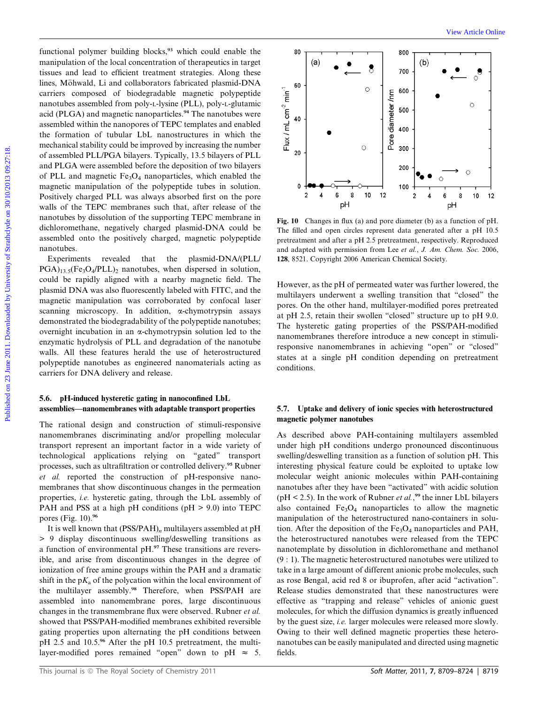functional polymer building blocks, $93$  which could enable the manipulation of the local concentration of therapeutics in target tissues and lead to efficient treatment strategies. Along these lines, Möhwald, Li and collaborators fabricated plasmid-DNA carriers composed of biodegradable magnetic polypeptide nanotubes assembled from poly-L-lysine (PLL), poly-L-glutamic acid (PLGA) and magnetic nanoparticles.<sup>94</sup> The nanotubes were assembled within the nanopores of TEPC templates and enabled the formation of tubular LbL nanostructures in which the mechanical stability could be improved by increasing the number of assembled PLL/PGA bilayers. Typically, 13.5 bilayers of PLL and PLGA were assembled before the deposition of two bilayers of PLL and magnetic  $Fe<sub>3</sub>O<sub>4</sub>$  nanoparticles, which enabled the magnetic manipulation of the polypeptide tubes in solution. Positively charged PLL was always absorbed first on the pore walls of the TEPC membranes such that, after release of the nanotubes by dissolution of the supporting TEPC membrane in dichloromethane, negatively charged plasmid-DNA could be assembled onto the positively charged, magnetic polypeptide nanotubes. Functional polytone building blocks." which could enable the<br>
mission and food on effects on the constrained for the properties<br>
these states and food on the strathcly interesting the mission of the strathclyde on a strat

Experiments revealed that the plasmid-DNA/(PLL/  $PGA$ <sub>13.5</sub>(Fe<sub>3</sub>O<sub>4</sub>/PLL)<sub>2</sub> nanotubes, when dispersed in solution, could be rapidly aligned with a nearby magnetic field. The plasmid DNA was also fluorescently labeled with FITC, and the magnetic manipulation was corroborated by confocal laser scanning microscopy. In addition, a-chymotrypsin assays demonstrated the biodegradability of the polypeptide nanotubes; overnight incubation in an  $\alpha$ -chymotrypsin solution led to the enzymatic hydrolysis of PLL and degradation of the nanotube walls. All these features herald the use of heterostructured polypeptide nanotubes as engineered nanomaterials acting as carriers for DNA delivery and release.

#### 5.6. pH-induced hysteretic gating in nanoconfined LbL assemblies—nanomembranes with adaptable transport properties

The rational design and construction of stimuli-responsive nanomembranes discriminating and/or propelling molecular transport represent an important factor in a wide variety of technological applications relying on ''gated'' transport processes, such as ultrafiltration or controlled delivery.<sup>95</sup> Rubner et al. reported the construction of pH-responsive nanomembranes that show discontinuous changes in the permeation properties, i.e. hysteretic gating, through the LbL assembly of PAH and PSS at a high pH conditions ( $pH > 9.0$ ) into TEPC pores (Fig. 10).<sup>96</sup>

It is well known that  $(PSS/PAH)_n$  multilayers assembled at pH > 9 display discontinuous swelling/deswelling transitions as a function of environmental pH.<sup>97</sup> These transitions are reversible, and arise from discontinuous changes in the degree of ionization of free amine groups within the PAH and a dramatic shift in the  $pK_a$  of the polycation within the local environment of the multilayer assembly.<sup>98</sup> Therefore, when PSS/PAH are assembled into nanomembrane pores, large discontinuous changes in the transmembrane flux were observed. Rubner et al. showed that PSS/PAH-modified membranes exhibited reversible gating properties upon alternating the pH conditions between pH 2.5 and 10.5.<sup>96</sup> After the pH 10.5 pretreatment, the multilayer-modified pores remained "open" down to pH  $\approx$  5.



Fig. 10 Changes in flux (a) and pore diameter (b) as a function of pH. The filled and open circles represent data generated after a pH 10.5 pretreatment and after a pH 2.5 pretreatment, respectively. Reproduced and adapted with permission from Lee et al., J. Am. Chem. Soc. 2006, 128, 8521. Copyright 2006 American Chemical Society.

However, as the pH of permeated water was further lowered, the multilayers underwent a swelling transition that ''closed'' the pores. On the other hand, multilayer-modified pores pretreated at pH 2.5, retain their swollen ''closed'' structure up to pH 9.0. The hysteretic gating properties of the PSS/PAH-modified nanomembranes therefore introduce a new concept in stimuliresponsive nanomembranes in achieving ''open'' or ''closed'' states at a single pH condition depending on pretreatment conditions.

## 5.7. Uptake and delivery of ionic species with heterostructured magnetic polymer nanotubes

As described above PAH-containing multilayers assembled under high pH conditions undergo pronounced discontinuous swelling/deswelling transition as a function of solution pH. This interesting physical feature could be exploited to uptake low molecular weight anionic molecules within PAH-containing nanotubes after they have been ''activated'' with acidic solution ( $pH < 2.5$ ). In the work of Rubner *et al.*,<sup>99</sup> the inner LbL bilayers also contained  $Fe<sub>3</sub>O<sub>4</sub>$  nanoparticles to allow the magnetic manipulation of the heterostructured nano-containers in solution. After the deposition of the  $Fe<sub>3</sub>O<sub>4</sub>$  nanoparticles and PAH, the heterostructured nanotubes were released from the TEPC nanotemplate by dissolution in dichloromethane and methanol (9 : 1). The magnetic heterostructured nanotubes were utilized to take in a large amount of different anionic probe molecules, such as rose Bengal, acid red 8 or ibuprofen, after acid ''activation''. Release studies demonstrated that these nanostructures were effective as ''trapping and release'' vehicles of anionic guest molecules, for which the diffusion dynamics is greatly influenced by the guest size, i.e. larger molecules were released more slowly. Owing to their well defined magnetic properties these heteronanotubes can be easily manipulated and directed using magnetic fields.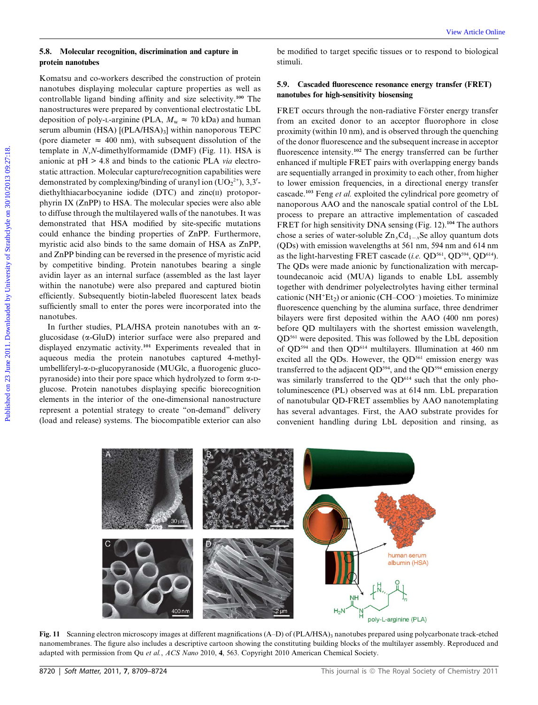# 5.8. Molecular recognition, discrimination and capture in protein nanotubes

Komatsu and co-workers described the construction of protein nanotubes displaying molecular capture properties as well as controllable ligand binding affinity and size selectivity.<sup>100</sup> The nanostructures were prepared by conventional electrostatic LbL deposition of poly-L-arginine (PLA,  $M_w \approx 70$  kDa) and human serum albumin (HSA)  $[(\text{PLA/HSA})_3]$  within nanoporous TEPC (pore diameter  $\approx$  400 nm), with subsequent dissolution of the template in N,N-dimethylformamide (DMF) (Fig. 11). HSA is anionic at  $pH > 4.8$  and binds to the cationic PLA *via* electrostatic attraction. Molecular capture/recognition capabilities were demonstrated by complexing/binding of uranyl ion  $(UO_2^{2+})$ , 3,3'diethylthiacarbocyanine iodide (DTC) and zinc(II) protoporphyrin IX (ZnPP) to HSA. The molecular species were also able to diffuse through the multilayered walls of the nanotubes. It was demonstrated that HSA modified by site-specific mutations could enhance the binding properties of ZnPP. Furthermore, myristic acid also binds to the same domain of HSA as ZnPP, and ZnPP binding can be reversed in the presence of myristic acid by competitive binding. Protein nanotubes bearing a single avidin layer as an internal surface (assembled as the last layer within the nanotube) were also prepared and captured biotin efficiently. Subsequently biotin-labeled fluorescent latex beads sufficiently small to enter the pores were incorporated into the nanotubes.

In further studies, PLA/HSA protein nanotubes with an  $\alpha$ glucosidase  $(\alpha$ -GluD) interior surface were also prepared and displayed enzymatic activity.<sup>101</sup> Experiments revealed that in aqueous media the protein nanotubes captured 4-methylumbelliferyl-a-D-glucopyranoside (MUGlc, a fluorogenic glucopyranoside) into their pore space which hydrolyzed to form a-Dglucose. Protein nanotubes displaying specific biorecognition elements in the interior of the one-dimensional nanostructure represent a potential strategy to create ''on-demand'' delivery (load and release) systems. The biocompatible exterior can also

be modified to target specific tissues or to respond to biological stimuli.

## 5.9. Cascaded fluorescence resonance energy transfer (FRET) nanotubes for high-sensitivity biosensing

FRET occurs through the non-radiative Förster energy transfer from an excited donor to an acceptor fluorophore in close proximity (within 10 nm), and is observed through the quenching of the donor fluorescence and the subsequent increase in acceptor fluorescence intensity.<sup>102</sup> The energy transferred can be further enhanced if multiple FRET pairs with overlapping energy bands are sequentially arranged in proximity to each other, from higher to lower emission frequencies, in a directional energy transfer cascade.<sup>103</sup> Feng et al. exploited the cylindrical pore geometry of nanoporous AAO and the nanoscale spatial control of the LbL process to prepare an attractive implementation of cascaded FRET for high sensitivity DNA sensing (Fig. 12).<sup>104</sup> The authors chose a series of water-soluble  $Zn_xCd_{1-x}Se$  alloy quantum dots (QDs) with emission wavelengths at 561 nm, 594 nm and 614 nm as the light-harvesting FRET cascade (i.e.  $QD^{561}$ ,  $QD^{594}$ ,  $QD^{614}$ ). The QDs were made anionic by functionalization with mercaptoundecanoic acid (MUA) ligands to enable LbL assembly together with dendrimer polyelectrolytes having either terminal cationic (NH<sup>+</sup>Et<sub>2</sub>) or anionic (CH–COO<sup>-</sup>) moieties. To minimize fluorescence quenching by the alumina surface, three dendrimer bilayers were first deposited within the AAO (400 nm pores) before QD multilayers with the shortest emission wavelength, QD561 were deposited. This was followed by the LbL deposition of QD594 and then QD614 multilayers. Illumination at 460 nm excited all the QDs. However, the  $QD<sup>561</sup>$  emission energy was transferred to the adjacent  $QD<sup>594</sup>$ , and the  $QD<sup>594</sup>$  emission energy was similarly transferred to the QD<sup>614</sup> such that the only photoluminescence (PL) observed was at 614 nm. LbL preparation of nanotubular QD-FRET assemblies by AAO nanotemplating has several advantages. First, the AAO substrate provides for convenient handling during LbL deposition and rinsing, as **55.** Molecular reception, discrimination and capture in the modified on tage specific tissues or to respond to biological kennis and converse described the constraints of prime. **5.** Conseiled the<br>measurement of the modi



Fig. 11 Scanning electron microscopy images at different magnifications (A–D) of (PLA/HSA)<sub>3</sub> nanotubes prepared using polycarbonate track-etched nanomembranes. The figure also includes a descriptive cartoon showing the constituting building blocks of the multilayer assembly. Reproduced and adapted with permission from Qu et al., ACS Nano 2010, 4, 563. Copyright 2010 American Chemical Society.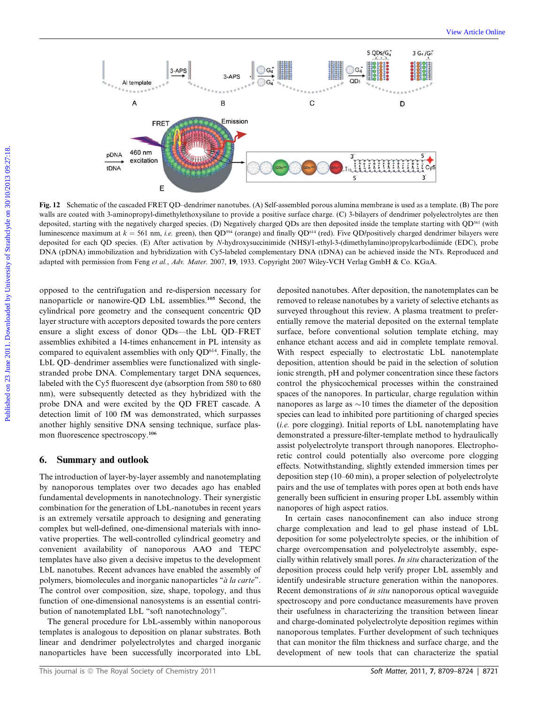

Fig. 12 Schematic of the cascaded FRET QD–dendrimer nanotubes. (A) Self-assembled porous alumina membrane is used as a template. (B) The pore walls are coated with 3-aminopropyl-dimethylethoxysilane to provide a positive surface charge. (C) 3-bilayers of dendrimer polyelectrolytes are then deposited, starting with the negatively charged species. (D) Negatively charged QDs are then deposited inside the template starting with QD<sup>561</sup> (with luminescence maximum at  $k = 561$  nm, i.e. green), then QD<sup>594</sup> (orange) and finally QD<sup>614</sup> (red). Five QD/positively charged dendrimer bilayers were deposited for each QD species. (E) After activation by N-hydroxysuccinimide (NHS)/1-ethyl-3-(dimethylamino)propylcarbodiimide (EDC), probe DNA (pDNA) immobilization and hybridization with Cy5-labeled complementary DNA (tDNA) can be achieved inside the NTs. Reproduced and adapted with permission from Feng et al., Adv. Mater. 2007, 19, 1933. Copyright 2007 Wiley-VCH Verlag GmbH & Co. KGaA.

opposed to the centrifugation and re-dispersion necessary for nanoparticle or nanowire-QD LbL assemblies.<sup>105</sup> Second, the cylindrical pore geometry and the consequent concentric QD layer structure with acceptors deposited towards the pore centers ensure a slight excess of donor QDs—the LbL QD–FRET assemblies exhibited a 14-times enhancement in PL intensity as compared to equivalent assemblies with only  $QD<sup>614</sup>$ . Finally, the LbL QD–dendrimer assemblies were functionalized with singlestranded probe DNA. Complementary target DNA sequences, labeled with the Cy5 fluorescent dye (absorption from 580 to 680 nm), were subsequently detected as they hybridized with the probe DNA and were excited by the QD FRET cascade. A detection limit of 100 fM was demonstrated, which surpasses another highly sensitive DNA sensing technique, surface plasmon fluorescence spectroscopy.<sup>106</sup>

#### 6. Summary and outlook

The introduction of layer-by-layer assembly and nanotemplating by nanoporous templates over two decades ago has enabled fundamental developments in nanotechnology. Their synergistic combination for the generation of LbL-nanotubes in recent years is an extremely versatile approach to designing and generating complex but well-defined, one-dimensional materials with innovative properties. The well-controlled cylindrical geometry and convenient availability of nanoporous AAO and TEPC templates have also given a decisive impetus to the development LbL nanotubes. Recent advances have enabled the assembly of polymers, biomolecules and inorganic nanoparticles "à la carte". The control over composition, size, shape, topology, and thus function of one-dimensional nanosystems is an essential contribution of nanotemplated LbL ''soft nanotechnology''.

The general procedure for LbL-assembly within nanoporous templates is analogous to deposition on planar substrates. Both linear and dendrimer polyelectrolytes and charged inorganic nanoparticles have been successfully incorporated into LbL

deposited nanotubes. After deposition, the nanotemplates can be removed to release nanotubes by a variety of selective etchants as surveyed throughout this review. A plasma treatment to preferentially remove the material deposited on the external template surface, before conventional solution template etching, may enhance etchant access and aid in complete template removal. With respect especially to electrostatic LbL nanotemplate deposition, attention should be paid in the selection of solution ionic strength, pH and polymer concentration since these factors control the physicochemical processes within the constrained spaces of the nanopores. In particular, charge regulation within nanopores as large as  $\sim$ 10 times the diameter of the deposition species can lead to inhibited pore partitioning of charged species (i.e. pore clogging). Initial reports of LbL nanotemplating have demonstrated a pressure-filter-template method to hydraulically assist polyelectrolyte transport through nanopores. Electrophoretic control could potentially also overcome pore clogging effects. Notwithstanding, slightly extended immersion times per deposition step (10–60 min), a proper selection of polyelectrolyte pairs and the use of templates with pores open at both ends have generally been sufficient in ensuring proper LbL assembly within nanopores of high aspect ratios.

In certain cases nanoconfinement can also induce strong charge complexation and lead to gel phase instead of LbL deposition for some polyelectrolyte species, or the inhibition of charge overcompensation and polyelectrolyte assembly, especially within relatively small pores. In situ characterization of the deposition process could help verify proper LbL assembly and identify undesirable structure generation within the nanopores. Recent demonstrations of in situ nanoporous optical waveguide spectroscopy and pore conductance measurements have proven their usefulness in characterizing the transition between linear and charge-dominated polyelectrolyte deposition regimes within nanoporous templates. Further development of such techniques that can monitor the film thickness and surface charge, and the development of new tools that can characterize the spatial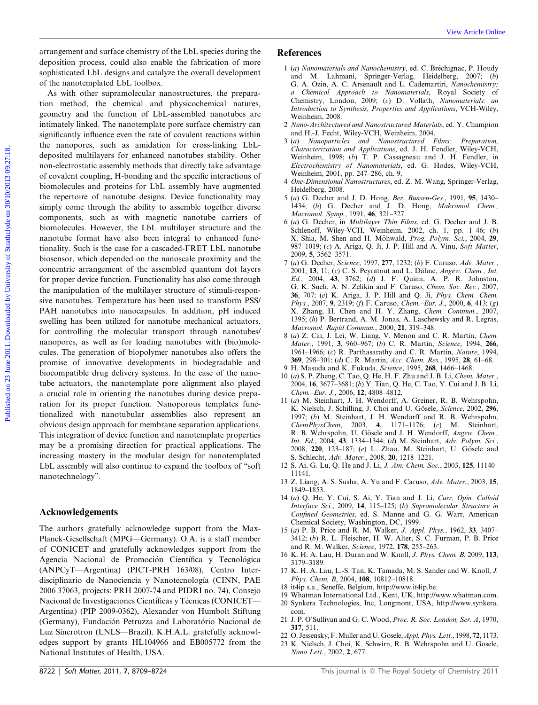arrangement and surface chemistry of the LbL species during the deposition process, could also enable the fabrication of more sophisticated LbL designs and catalyze the overall development of the nanotemplated LbL toolbox.

As with other supramolecular nanostructures, the preparation method, the chemical and physicochemical natures, geometry and the function of LbL-assembled nanotubes are intimately linked. The nanotemplate pore surface chemistry can significantly influence even the rate of covalent reactions within the nanopores, such as amidation for cross-linking LbLdeposited multilayers for enhanced nanotubes stability. Other non-electrostatic assembly methods that directly take advantage of covalent coupling, H-bonding and the specific interactions of biomolecules and proteins for LbL assembly have augmented the repertoire of nanotube designs. Device functionality may simply come through the ability to assemble together diverse components, such as with magnetic nanotube carriers of biomolecules. However, the LbL multilayer structure and the nanotube format have also been integral to enhanced functionality. Such is the case for a cascaded-FRET LbL nanotube biosensor, which depended on the nanoscale proximity and the concentric arrangement of the assembled quantum dot layers for proper device function. Functionality has also come through the manipulation of the multilayer structure of stimuli-responsive nanotubes. Temperature has been used to transform PSS/ PAH nanotubes into nanocapsules. In addition, pH induced swelling has been utilized for nanotube mechanical actuators, for controlling the molecular transport through nanotubes/ nanopores, as well as for loading nanotubes with (bio)molecules. The generation of biopolymer nanotubes also offers the promise of innovative developments in biodegradable and biocompatible drug delivery systems. In the case of the nanotube actuators, the nanotemplate pore alignment also played a crucial role in orienting the nanotubes during device preparation for its proper function. Nanoporous templates functionalized with nanotubular assemblies also represent an obvious design approach for membrane separation applications. This integration of device function and nanotemplate properties may be a promising direction for practical applications. The increasing mastery in the modular design for nanotemplated LbL assembly will also continue to expand the toolbox of ''soft nanotechnology''. are<br>recognized and surface chemically of the LM species during the **MeTeruces**<br>
deposition of the anarctomy of the anarctomy of the anarctomy of the anarctomy of the anarctomy of the anarctomy of the anarctomy of the anar

## Acknowledgements

The authors gratefully acknowledge support from the Max-Planck-Gesellschaft (MPG—Germany). O.A. is a staff member of CONICET and gratefully acknowledges support from the Agencia Nacional de Promoción Científica y Tecnológica (ANPCyT—Argentina) (PICT-PRH 163/08), Centro Interdisciplinario de Nanociencia y Nanotecnología (CINN, PAE 2006 37063, projects: PRH 2007-74 and PIDRI no. 74), Consejo Nacional de Investigaciones Científicas y Técnicas (CONICET— Argentina) (PIP 2009-0362), Alexander von Humbolt Stiftung (Germany), Fundación Petruzza and Laboratório Nacional de Luz Síncrotron (LNLS—Brazil). K.H.A.L. gratefully acknowledges support by grants HL104966 and EB005772 from the National Institutes of Health, USA.

#### References

- 1 (a) Nanomaterials and Nanochemistry, ed. C. Bréchignac, P. Houdy and M. Lahmani, Springer-Verlag, Heidelberg, 2007; (b) G. A. Ozin, A. C. Arsenault and L. Cademartiri, Nanochemistry: a Chemical Approach to Nanomaterials, Royal Society of Chemistry, London, 2009; (c) D. Vollath, Nanomaterials: an Introduction to Synthesis, Properties and Applications, VCH-Wiley, Weinheim, 2008.
- 2 Nano-Architectured and Nanostructured Materials, ed. Y. Champion and H.-J. Fecht, Wiley-VCH, Weinheim, 2004.
- 3 (a) Nanoparticles and Nanostructured Films: Preparation, Characterization and Applications, ed. J. H. Fendler, Wiley-VCH, Weinheim, 1998; (b) T. P. Cassagneau and J. H. Fendler, in Electrochemistry of Nanomaterials, ed. G. Hodes, Wiley-VCH, Weinheim, 2001, pp. 247–286, ch. 9.
- 4 One-Dimensional Nanostructures, ed. Z. M. Wang, Springer-Verlag, Heidelberg, 2008.
- 5 (a) G. Decher and J. D. Hong, Ber. Bunsen-Ges., 1991, 95, 1430– 1434; (b) G. Decher and J. D. Hong, Makromol. Chem., Macromol. Symp., 1991, 46, 321–327.
- 6 (a) G. Decher, in Multilayer Thin Films, ed. G. Decher and J. B. Schlenoff, Wiley-VCH, Weinheim, 2002, ch. 1, pp. 1–46; (b) X. Shia, M. Shen and H. Möhwald, Prog. Polym. Sci., 2004, 29, 987–1019; (c) A. Ariga, Q. Ji, J. P. Hill and A. Vinu, Soft Matter, 2009, 5, 3562–3571.
- 7 (a) G. Decher, Science, 1997, 277, 1232; (b) F. Caruso, Adv. Mater., 2001, 13, 11; (c) C. S. Peyratout and L. Dähne, Angew. Chem., Int. Ed., 2004, 43, 3762; (d) J. F. Quinn, A. P. R. Johnston, G. K. Such, A. N. Zelikin and F. Caruso, Chem. Soc. Rev., 2007, 36, 707; (e) K. Ariga, J. P. Hill and Q. Ji, Phys. Chem. Chem. Phys., 2007, 9, 2319; (f) F. Caruso, Chem.–Eur. J., 2000, 6, 413; (g) X. Zhang, H. Chen and H. Y. Zhang, Chem. Commun., 2007, 1395; (h) P. Bertrand, A. M. Jonas, A. Laschewsky and R. Legras, Macromol. Rapid Commun., 2000, 21, 319–348.
- 8 (a) Z. Cai, J. Lei, W. Liang, V. Menon and C. R. Martin, Chem. Mater., 1991, 3, 960-967; (b) C. R. Martin, Science, 1994, 266, 1961–1966; (c) R. Parthasarathy and C. R. Martin, Nature, 1994, 369, 298–301; (d) C. R. Martin, Acc. Chem. Res., 1995, 28, 61–68.
- 9 H. Masuda and K. Fukuda, Science, 1995, 268, 1466–1468.
- 10 (a) S. P. Zheng, C. Tao, Q. He, H. F. Zhu and J. B. Li, Chem. Mater., 2004, 16, 3677–3681; (b) Y. Tian, Q. He, C. Tao, Y. Cui and J. B. Li, Chem.–Eur. J., 2006, 12, 4808–4812.
- 11 (a) M. Steinhart, J. H. Wendorff, A. Greiner, R. B. Wehrspohn, K. Nielsch, J. Schilling, J. Choi and U. Gösele, Science, 2002, 296, 1997; (b) M. Steinhart, J. H. Wendorff and R. B. Wehrspohn, ChemPhysChem, 2003, 4, 1171–1176; (c) M. Steinhart, R. B. Wehrspohn, U. Gösele and J. H. Wendorff, Angew. Chem., Int. Ed., 2004, 43, 1334–1344; (d) M. Steinhart, Adv. Polym. Sci., 2008, 220, 123-187; (e) L. Zhao, M. Steinhart, U. Gösele and S. Schlecht, Adv. Mater., 2008, 20, 1218–1221.
- 12 S. Ai, G. Lu, Q. He and J. Li, J. Am. Chem. Soc., 2003, 125, 11140– 11141.
- 13 Z. Liang, A. S. Susha, A. Yu and F. Caruso, Adv. Mater., 2003, 15, 1849–1853.
- 14 (a) Q. He, Y. Cui, S. Ai, Y. Tian and J. Li, Curr. Opin. Colloid Interface Sci., 2009, 14, 115–125; (b) Supramolecular Structure in Confined Geometries, ed. S. Manne and G. G. Warr, American Chemical Society, Washington, DC, 1999.
- 15 (a) P. B. Price and R. M. Walker, J. Appl. Phys., 1962, 33, 3407– 3412; (b) R. L. Fleischer, H. W. Alter, S. C. Furman, P. B. Price and R. M. Walker, Science, 1972, 178, 255–263.
- 16 K. H. A. Lau, H. Duran and W. Knoll, J. Phys. Chem. B, 2009, 113, 3179–3189.
- 17 K. H. A. Lau, L.-S. Tan, K. Tamada, M. S. Sander and W. Knoll, J. Phys. Chem. B, 2004, 108, 10812-10818.
- 18 it4ip s.a., Seneffe, Belgium, http://www.it4ip.be.
- 19 Whatman International Ltd., Kent, UK, http://www.whatman.com. 20 Synkera Technologies, Inc, Longmont, USA, http://www.synkera. com.
- 21 J. P. O'Sullivan and G. C. Wood, Proc. R. Soc. London, Ser. A, 1970, 317, 511.
- 22 O. Jessensky, F. Muller and U. Gosele, Appl. Phys. Lett., 1998, 72, 1173.
- 23 K. Nielsch, J. Choi, K. Schwirn, R. B. Wehrspohn and U. Gosele, Nano Lett., 2002, 2, 677.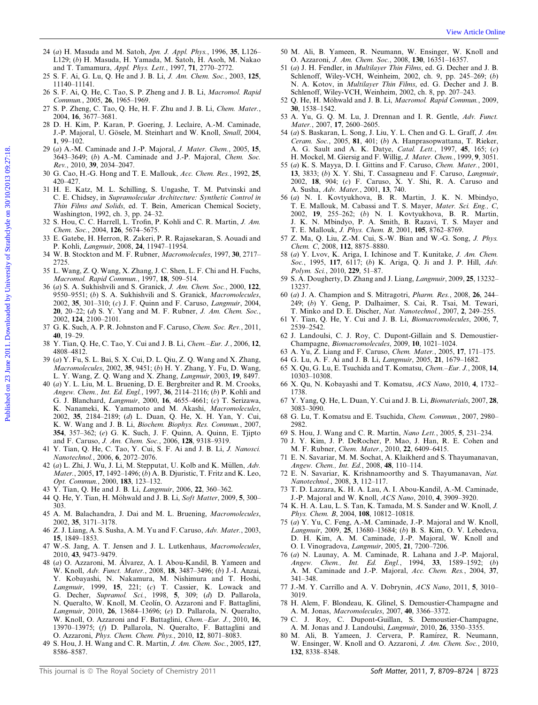- 24 (a) H. Masuda and M. Satoh, Jpn. J. Appl. Phys., 1996, 35, L126– L129; (b) H. Masuda, H. Yamada, M. Satoh, H. Asoh, M. Nakao and T. Tamamura, Appl. Phys. Lett., 1997, 71, 2770–2772.
- 25 S. F. Ai, G. Lu, Q. He and J. B. Li, J. Am. Chem. Soc., 2003, 125, 11140–11141.
- 26 S. F. Ai, Q. He, C. Tao, S. P. Zheng and J. B. Li, Macromol. Rapid Commun., 2005, 26, 1965–1969.
- 27 S. P. Zheng, C. Tao, Q. He, H. F. Zhu and J. B. Li, Chem. Mater., 2004, 16, 3677–3681.
- 28 D. H. Kim, P. Karan, P. Goering, J. Leclaire, A.-M. Caminade, J.-P. Majoral, U. Gösele, M. Steinhart and W. Knoll, Small, 2004, 1, 99–102.
- 29 (a) A.-M. Caminade and J.-P. Majoral, J. Mater. Chem., 2005, 15, 3643–3649; (b) A.-M. Caminade and J.-P. Majoral, Chem. Soc. Rev., 2010, 39, 2034–2047.
- 30 G. Cao, H.-G. Hong and T. E. Mallouk, Acc. Chem. Res., 1992, 25, 420–427.
- 31 H. E. Katz, M. L. Schilling, S. Ungashe, T. M. Putvinski and C. E. Chidsey, in Supramolecular Architecture: Synthetic Control in Thin Films and Solids, ed. T. Bein, American Chemical Society, Washington, 1992, ch. 3, pp. 24–32.
- 32 S. Hou, C. C. Harrell, L. Trofin, P. Kohli and C. R. Martin, J. Am. Chem. Soc., 2004, 126, 5674–5675.
- 33 E. Gatebe, H. Herron, R. Zakeri, P. R. Rajasekaran, S. Aouadi and P. Kohli, Langmuir, 2008, 24, 11947–11954.
- 34 W. B. Stockton and M. F. Rubner, Macromolecules, 1997, 30, 2717– 2725.
- 35 L. Wang, Z. Q. Wang, X. Zhang, J. C. Shen, L. F. Chi and H. Fuchs, Macromol. Rapid Commun., 1997, 18, 509–514.
- 36 (a) S. A. Sukhishvili and S. Granick, J. Am. Chem. Soc., 2000, 122, 9550–9551; (b) S. A. Sukhishvili and S. Granick, Macromolecules, 2002, 35, 301–310; (c) J. F. Quinn and F. Caruso, Langmuir, 2004, 20, 20–22; (d) S. Y. Yang and M. F. Rubner, J. Am. Chem. Soc., 2002, 124, 2100–2101.
- 37 G. K. Such, A. P. R. Johnston and F. Caruso, Chem. Soc. Rev., 2011, 40, 19–29.
- 38 Y. Tian, Q. He, C. Tao, Y. Cui and J. B. Li, Chem.–Eur. J., 2006, 12, 4808–4812.
- 39 (a) Y. Fu, S. L. Bai, S. X. Cui, D. L. Qiu, Z. Q. Wang and X. Zhang, Macromolecules, 2002, 35, 9451; (b) H. Y. Zhang, Y. Fu, D. Wang, L. Y. Wang, Z. Q. Wang and X. Zhang, Langmuir, 2003, 19, 8497.
- 40 (a) Y. L. Liu, M. L. Bruening, D. E. Bergbreiter and R. M. Crooks, Angew. Chem., Int. Ed. Engl., 1997, 36, 2114–2116; (b) P. Kohli and G. J. Blanchard, Langmuir, 2000, 16, 4655–4661; (c) T. Serizawa, K. Nanameki, K. Yamamoto and M. Akashi, Macromolecules, 2002, 35, 2184–2189; (d) L. Duan, Q. He, X. H. Yan, Y. Cui, K. W. Wang and J. B. Li, Biochem. Biophys. Res. Commun., 2007, 354, 357–362; (e) G. K. Such, J. F. Quinn, A. Quinn, E. Tjipto and F. Caruso, J. Am. Chem. Soc., 2006, 128, 9318–9319. 24 GFH Months and Kirch (1991, 1991, 1992, 1991, 1992, 1992, 1992, 1992, 1992, 1992, 1992, 1992, 1992, 1992, 1992, 1992, 1992, 1992, 1992, 1992, 1992, 1992, 1992, 1992, 1992, 1992, 1992, 1992, 1992, 1992, 1992, 1992, 1992
	- 41 Y. Tian, Q. He, C. Tao, Y. Cui, S. F. Ai and J. B. Li, J. Nanosci. Nanotechnol., 2006, 6, 2072–2076.
	- 42 (a) L. Zhi, J. Wu, J. Li, M. Stepputat, U. Kolb and K. Müllen,  $Adv$ . Mater., 2005, 17, 1492–1496; (b) A. B. Djuristic, T. Fritz and K. Leo, Opt. Commun., 2000, 183, 123–132.
	- 43 Y. Tian, Q. He and J. B. Li, Langmuir, 2006, 22, 360–362.
	- 44 Q. He, Y. Tian, H. Möhwald and J. B. Li, Soft Matter, 2009, 5, 300-303.
	- 45 A. M. Balachandra, J. Dai and M. L. Bruening, Macromolecules, 2002, 35, 3171–3178.
	- 46 Z. J. Liang, A. S. Susha, A. M. Yu and F. Caruso, Adv. Mater., 2003, 15, 1849–1853.
	- 47 W.-S. Jang, A. T. Jensen and J. L. Lutkenhaus, Macromolecules, 2010, 43, 9473–9479.
	- 48 (a) O. Azzaroni, M. Alvarez, A. I. Abou-Kandil, B. Yameen and W. Knoll, Adv. Funct. Mater., 2008, 18, 3487–3496; (b) J.-I. Anzai, Y. Kobayashi, N. Nakamura, M. Nishimura and T. Hoshi, Langmuir, 1999, 15, 221; (c) T. Cassier, K. Lowack and G. Decher, Supramol. Sci., 1998, 5, 309; (d) D. Pallarola, N. Queralto, W. Knoll, M. Ceolín, O. Azzaroni and F. Battaglini, Langmuir, 2010, 26, 13684–13696; (e) D. Pallarola, N. Queralto, W. Knoll, O. Azzaroni and F. Battaglini, Chem.-Eur. J., 2010, 16, 13970–13975; (f) D. Pallarola, N. Queralto, F. Battaglini and O. Azzaroni, Phys. Chem. Chem. Phys., 2010, 12, 8071–8083.
	- 49 S. Hou, J. H. Wang and C. R. Martin, J. Am. Chem. Soc., 2005, 127, 8586–8587.
- 50 M. Ali, B. Yameen, R. Neumann, W. Ensinger, W. Knoll and O. Azzaroni, J. Am. Chem. Soc., 2008, 130, 16351–16357.
- 51 (a) J. H. Fendler, in Multilayer Thin Films, ed. G. Decher and J. B. Schlenoff, Wiley-VCH, Weinheim, 2002, ch. 9, pp. 245–269; (b) N. A. Kotov, in Multilayer Thin Films, ed. G. Decher and J. B. Schlenoff, Wiley-VCH, Weinheim, 2002, ch. 8, pp. 207–243.
- 52 Q. He, H. Möhwald and J. B. Li, Macromol. Rapid Commun., 2009, 30, 1538–1542.
- 53 A. Yu, G. Q. M. Lu, J. Drennan and I. R. Gentle, Adv. Funct. Mater., 2007, 17, 2600–2605.
- 54 (a) S. Baskaran, L. Song, J. Liu, Y. L. Chen and G. L. Graff, J. Am. Ceram. Soc., 2005, 81, 401; (b) A. Hanprasopwattana, T. Rieker, A. G. Sault and A. K. Datye, *Catal. Lett.*, 1997, 45, 165; (c) H. Mockel, M. Giersig and F. Willig, J. Mater. Chem., 1999, 9, 3051.
- 55 (a) K. S. Mayya, D. I. Gittins and F. Caruso, Chem. Mater., 2001, 13, 3833; (b) X. Y. Shi, T. Cassagneau and F. Caruso, Langmuir, 2002, 18, 904; (c) F. Caruso, X. Y. Shi, R. A. Caruso and A. Susha, Adv. Mater., 2001, 13, 740.
- 56 (a) N. I. Kovtyukhova, B. R. Martin, J. K. N. Mbindyo, T. E. Mallouk, M. Cabassi and T. S. Mayer, Mater. Sci. Eng., C, 2002, 19, 255–262; (b) N. I. Kovtyukhova, B. R. Martin, J. K. N. Mbindyo, P. A. Smith, B. Razavi, T. S. Mayer and T. E. Mallouk, J. Phys. Chem. B, 2001, 105, 8762–8769.
- 57 Z. Ma, Q. Liu, Z.-M. Cui, S.-W. Bian and W.-G. Song, J. Phys. Chem. C, 2008, 112, 8875–8880.
- 58 (a) Y. Lvov, K. Ariga, I. Ichinose and T. Kunitake, J. Am. Chem. Soc., 1995, 117, 6117; (b) K. Ariga, Q. Ji and J. P. Hill, Adv. Polym. Sci., 2010, 229, 51–87.
- 59 S. A. Dougherty, D. Zhang and J. Liang, Langmuir, 2009, 25, 13232– 13237.
- 60 (a) J. A. Champion and S. Mitragotri, Pharm. Res., 2008, 26, 244– 249; (b) Y. Geng, P. Dalhaimer, S. Cai, R. Tsai, M. Tewari, T. Minko and D. E. Discher, Nat. Nanotechnol., 2007, 2, 249–255.
- 61 Y. Tian, Q. He, Y. Cui and J. B. Li, Biomacromolecules, 2006, 7, 2539–2542.
- 62 J. Landoulsi, C. J. Roy, C. Dupont-Gillain and S. Demoustier-Champagne, Biomacromolecules, 2009, 10, 1021–1024.
- 63 A. Yu, Z. Liang and F. Caruso, Chem. Mater., 2005, 17, 171–175.
- 64 G. Lu, A. F. Ai and J. B. Li, Langmuir, 2005, 21, 1679–1682.
- 65 X. Qu, G. Lu, E. Tsuchida and T. Komatsu, Chem.–Eur. J., 2008, 14, 10303–10308.
- 66 X. Qu, N. Kobayashi and T. Komatsu, ACS Nano, 2010, 4, 1732– 1738.
- 67 Y. Yang, Q. He, L. Duan, Y. Cui and J. B. Li, Biomaterials, 2007, 28, 3083–3090.
- 68 G. Lu, T. Komatsu and E. Tsuchida, Chem. Commun., 2007, 2980– 2982.
- 69 S. Hou, J. Wang and C. R. Martin, Nano Lett., 2005, 5, 231–234.
- 70 J. Y. Kim, J. P. DeRocher, P. Mao, J. Han, R. E. Cohen and M. F. Rubner, Chem. Mater., 2010, 22, 6409–6415.
- 71 E. N. Savariar, M. M. Sochat, A. Klaikherd and S. Thayumanavan, Angew. Chem., Int. Ed., 2008, 48, 110–114.
- 72 E. N. Savariar, K. Krishnamoorthy and S. Thayumanavan, Nat. Nanotechnol., 2008, 3, 112–117.
- 73 T. D. Lazzara, K. H. A. Lau, A. I. Abou-Kandil, A.-M. Caminade, J.-P. Majoral and W. Knoll, ACS Nano, 2010, 4, 3909–3920.
- 74 K. H. A. Lau, L. S. Tan, K. Tamada, M. S. Sander and W. Knoll, J. Phys. Chem. B, 2004, 108, 10812–10818.
- 75 (a) Y. Yu, C. Feng, A.-M. Caminade, J.-P. Majoral and W. Knoll, Langmuir, 2009, 25, 13680-13684; (b) B. S. Kim, O. V. Lebedeva, D. H. Kim, A. M. Caminade, J.-P. Majoral, W. Knoll and O. I. Vinogradova, Langmuir, 2005, 21, 7200–7206.
- 76 (a) N. Launay, A. M. Caminade, R. Lahana and J.-P. Majoral, Angew. Chem., Int. Ed. Engl., 1994, 33, 1589–1592; (b) A. M. Caminade and J.-P. Majoral, Acc. Chem. Res., 2004, 37, 341–348.
- 77 J.-M. Y. Carrillo and A. V. Dobrynin, ACS Nano, 2011, 5, 3010– 3019.
- 78 H. Alem, F. Blondeau, K. Glinel, S. Demoustier-Champagne and A. M. Jonas, Macromolecules, 2007, 40, 3366–3372.
- 79 C. J. Roy, C. Dupont-Guillan, S. Demoustier-Champagne, A. M. Jonas and J. Landoulsi, Langmuir, 2010, 26, 3350–3355.
- 80 M. Ali, B. Yameen, J. Cervera, P. Ramírez, R. Neumann, W. Ensinger, W. Knoll and O. Azzaroni, J. Am. Chem. Soc., 2010, 132, 8338–8348.